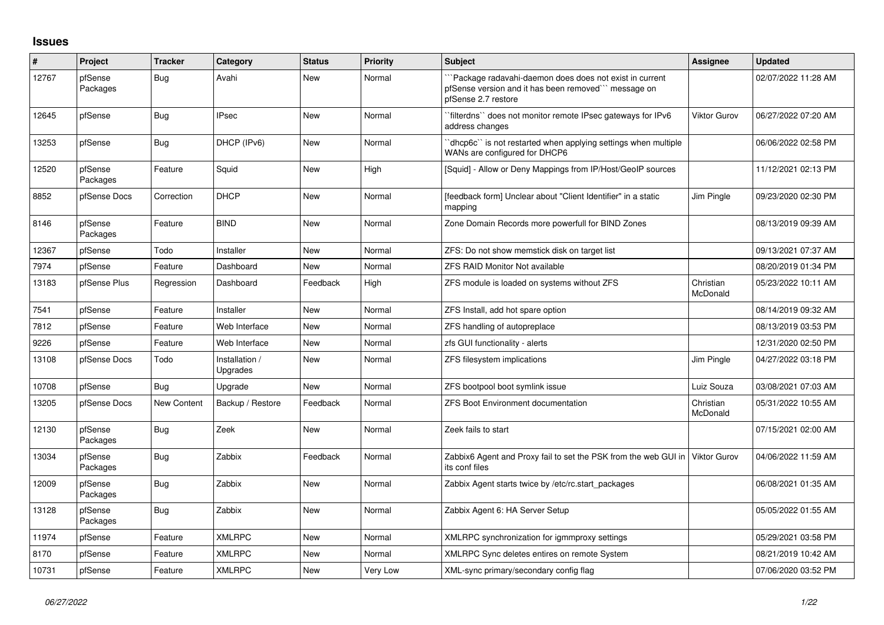## **Issues**

| ∦     | Project             | <b>Tracker</b> | Category                   | <b>Status</b> | Priority | <b>Subject</b>                                                                                                                        | <b>Assignee</b>       | Updated             |
|-------|---------------------|----------------|----------------------------|---------------|----------|---------------------------------------------------------------------------------------------------------------------------------------|-----------------------|---------------------|
| 12767 | pfSense<br>Packages | <b>Bug</b>     | Avahi                      | <b>New</b>    | Normal   | `Package radavahi-daemon does does not exist in current<br>pfSense version and it has been removed" message on<br>pfSense 2.7 restore |                       | 02/07/2022 11:28 AM |
| 12645 | pfSense             | <b>Bug</b>     | <b>IPsec</b>               | <b>New</b>    | Normal   | `filterdns`` does not monitor remote IPsec gateways for IPv6<br>address changes                                                       | <b>Viktor Gurov</b>   | 06/27/2022 07:20 AM |
| 13253 | pfSense             | Bug            | DHCP (IPv6)                | <b>New</b>    | Normal   | dhcp6c" is not restarted when applying settings when multiple<br>WANs are configured for DHCP6                                        |                       | 06/06/2022 02:58 PM |
| 12520 | pfSense<br>Packages | Feature        | Squid                      | <b>New</b>    | High     | [Squid] - Allow or Deny Mappings from IP/Host/GeoIP sources                                                                           |                       | 11/12/2021 02:13 PM |
| 8852  | pfSense Docs        | Correction     | <b>DHCP</b>                | New           | Normal   | [feedback form] Unclear about "Client Identifier" in a static<br>mapping                                                              | Jim Pingle            | 09/23/2020 02:30 PM |
| 8146  | pfSense<br>Packages | Feature        | <b>BIND</b>                | New           | Normal   | Zone Domain Records more powerfull for BIND Zones                                                                                     |                       | 08/13/2019 09:39 AM |
| 12367 | pfSense             | Todo           | Installer                  | New           | Normal   | ZFS: Do not show memstick disk on target list                                                                                         |                       | 09/13/2021 07:37 AM |
| 7974  | pfSense             | Feature        | Dashboard                  | New           | Normal   | <b>ZFS RAID Monitor Not available</b>                                                                                                 |                       | 08/20/2019 01:34 PM |
| 13183 | pfSense Plus        | Regression     | Dashboard                  | Feedback      | High     | ZFS module is loaded on systems without ZFS                                                                                           | Christian<br>McDonald | 05/23/2022 10:11 AM |
| 7541  | pfSense             | Feature        | Installer                  | <b>New</b>    | Normal   | ZFS Install, add hot spare option                                                                                                     |                       | 08/14/2019 09:32 AM |
| 7812  | pfSense             | Feature        | Web Interface              | <b>New</b>    | Normal   | ZFS handling of autopreplace                                                                                                          |                       | 08/13/2019 03:53 PM |
| 9226  | pfSense             | Feature        | Web Interface              | <b>New</b>    | Normal   | zfs GUI functionality - alerts                                                                                                        |                       | 12/31/2020 02:50 PM |
| 13108 | pfSense Docs        | Todo           | Installation /<br>Upgrades | <b>New</b>    | Normal   | ZFS filesystem implications                                                                                                           | Jim Pingle            | 04/27/2022 03:18 PM |
| 10708 | pfSense             | <b>Bug</b>     | Upgrade                    | <b>New</b>    | Normal   | ZFS bootpool boot symlink issue                                                                                                       | Luiz Souza            | 03/08/2021 07:03 AM |
| 13205 | pfSense Docs        | New Content    | Backup / Restore           | Feedback      | Normal   | <b>ZFS Boot Environment documentation</b>                                                                                             | Christian<br>McDonald | 05/31/2022 10:55 AM |
| 12130 | pfSense<br>Packages | Bug            | Zeek                       | New           | Normal   | Zeek fails to start                                                                                                                   |                       | 07/15/2021 02:00 AM |
| 13034 | pfSense<br>Packages | Bug            | Zabbix                     | Feedback      | Normal   | Zabbix6 Agent and Proxy fail to set the PSK from the web GUI in<br>its conf files                                                     | <b>Viktor Gurov</b>   | 04/06/2022 11:59 AM |
| 12009 | pfSense<br>Packages | Bug            | Zabbix                     | <b>New</b>    | Normal   | Zabbix Agent starts twice by /etc/rc.start packages                                                                                   |                       | 06/08/2021 01:35 AM |
| 13128 | pfSense<br>Packages | <b>Bug</b>     | Zabbix                     | <b>New</b>    | Normal   | Zabbix Agent 6: HA Server Setup                                                                                                       |                       | 05/05/2022 01:55 AM |
| 11974 | pfSense             | Feature        | <b>XMLRPC</b>              | <b>New</b>    | Normal   | XMLRPC synchronization for igmmproxy settings                                                                                         |                       | 05/29/2021 03:58 PM |
| 8170  | pfSense             | Feature        | <b>XMLRPC</b>              | New           | Normal   | XMLRPC Sync deletes entires on remote System                                                                                          |                       | 08/21/2019 10:42 AM |
| 10731 | pfSense             | Feature        | <b>XMLRPC</b>              | <b>New</b>    | Very Low | XML-sync primary/secondary config flag                                                                                                |                       | 07/06/2020 03:52 PM |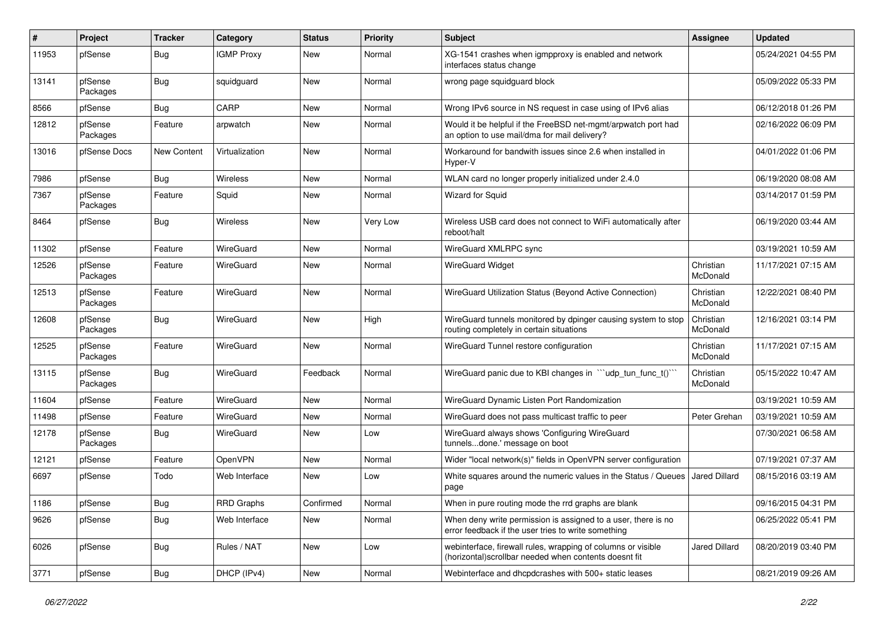| #     | Project             | <b>Tracker</b> | Category          | <b>Status</b> | <b>Priority</b> | <b>Subject</b>                                                                                                         | <b>Assignee</b>       | <b>Updated</b>      |
|-------|---------------------|----------------|-------------------|---------------|-----------------|------------------------------------------------------------------------------------------------------------------------|-----------------------|---------------------|
| 11953 | pfSense             | <b>Bug</b>     | <b>IGMP Proxy</b> | New           | Normal          | XG-1541 crashes when igmpproxy is enabled and network<br>interfaces status change                                      |                       | 05/24/2021 04:55 PM |
| 13141 | pfSense<br>Packages | <b>Bug</b>     | squidguard        | New           | Normal          | wrong page squidguard block                                                                                            |                       | 05/09/2022 05:33 PM |
| 8566  | pfSense             | <b>Bug</b>     | CARP              | New           | Normal          | Wrong IPv6 source in NS request in case using of IPv6 alias                                                            |                       | 06/12/2018 01:26 PM |
| 12812 | pfSense<br>Packages | Feature        | arpwatch          | New           | Normal          | Would it be helpful if the FreeBSD net-mgmt/arpwatch port had<br>an option to use mail/dma for mail delivery?          |                       | 02/16/2022 06:09 PM |
| 13016 | pfSense Docs        | New Content    | Virtualization    | New           | Normal          | Workaround for bandwith issues since 2.6 when installed in<br>Hyper-V                                                  |                       | 04/01/2022 01:06 PM |
| 7986  | pfSense             | <b>Bug</b>     | Wireless          | New           | Normal          | WLAN card no longer properly initialized under 2.4.0                                                                   |                       | 06/19/2020 08:08 AM |
| 7367  | pfSense<br>Packages | Feature        | Squid             | New           | Normal          | Wizard for Squid                                                                                                       |                       | 03/14/2017 01:59 PM |
| 8464  | pfSense             | <b>Bug</b>     | Wireless          | <b>New</b>    | Very Low        | Wireless USB card does not connect to WiFi automatically after<br>reboot/halt                                          |                       | 06/19/2020 03:44 AM |
| 11302 | pfSense             | Feature        | WireGuard         | New           | Normal          | WireGuard XMLRPC sync                                                                                                  |                       | 03/19/2021 10:59 AM |
| 12526 | pfSense<br>Packages | Feature        | WireGuard         | <b>New</b>    | Normal          | <b>WireGuard Widget</b>                                                                                                | Christian<br>McDonald | 11/17/2021 07:15 AM |
| 12513 | pfSense<br>Packages | Feature        | WireGuard         | New           | Normal          | WireGuard Utilization Status (Beyond Active Connection)                                                                | Christian<br>McDonald | 12/22/2021 08:40 PM |
| 12608 | pfSense<br>Packages | <b>Bug</b>     | WireGuard         | <b>New</b>    | High            | WireGuard tunnels monitored by dpinger causing system to stop<br>routing completely in certain situations              | Christian<br>McDonald | 12/16/2021 03:14 PM |
| 12525 | pfSense<br>Packages | Feature        | WireGuard         | <b>New</b>    | Normal          | WireGuard Tunnel restore configuration                                                                                 | Christian<br>McDonald | 11/17/2021 07:15 AM |
| 13115 | pfSense<br>Packages | <b>Bug</b>     | WireGuard         | Feedback      | Normal          | WireGuard panic due to KBI changes in "'udp_tun_func_t()'"                                                             | Christian<br>McDonald | 05/15/2022 10:47 AM |
| 11604 | pfSense             | Feature        | WireGuard         | <b>New</b>    | Normal          | WireGuard Dynamic Listen Port Randomization                                                                            |                       | 03/19/2021 10:59 AM |
| 11498 | pfSense             | Feature        | WireGuard         | <b>New</b>    | Normal          | WireGuard does not pass multicast traffic to peer                                                                      | Peter Grehan          | 03/19/2021 10:59 AM |
| 12178 | pfSense<br>Packages | Bug            | WireGuard         | New           | Low             | WireGuard always shows 'Configuring WireGuard<br>tunnelsdone.' message on boot                                         |                       | 07/30/2021 06:58 AM |
| 12121 | pfSense             | Feature        | OpenVPN           | <b>New</b>    | Normal          | Wider "local network(s)" fields in OpenVPN server configuration                                                        |                       | 07/19/2021 07:37 AM |
| 6697  | pfSense             | Todo           | Web Interface     | New           | Low             | White squares around the numeric values in the Status / Queues<br>page                                                 | <b>Jared Dillard</b>  | 08/15/2016 03:19 AM |
| 1186  | pfSense             | Bug            | <b>RRD Graphs</b> | Confirmed     | Normal          | When in pure routing mode the rrd graphs are blank                                                                     |                       | 09/16/2015 04:31 PM |
| 9626  | pfSense             | Bug            | Web Interface     | New           | Normal          | When deny write permission is assigned to a user, there is no<br>error feedback if the user tries to write something   |                       | 06/25/2022 05:41 PM |
| 6026  | pfSense             | i Bug          | Rules / NAT       | New           | Low             | webinterface, firewall rules, wrapping of columns or visible<br>(horizontal) scrollbar needed when contents doesnt fit | Jared Dillard         | 08/20/2019 03:40 PM |
| 3771  | pfSense             | Bug            | DHCP (IPv4)       | New           | Normal          | Webinterface and dhcpdcrashes with 500+ static leases                                                                  |                       | 08/21/2019 09:26 AM |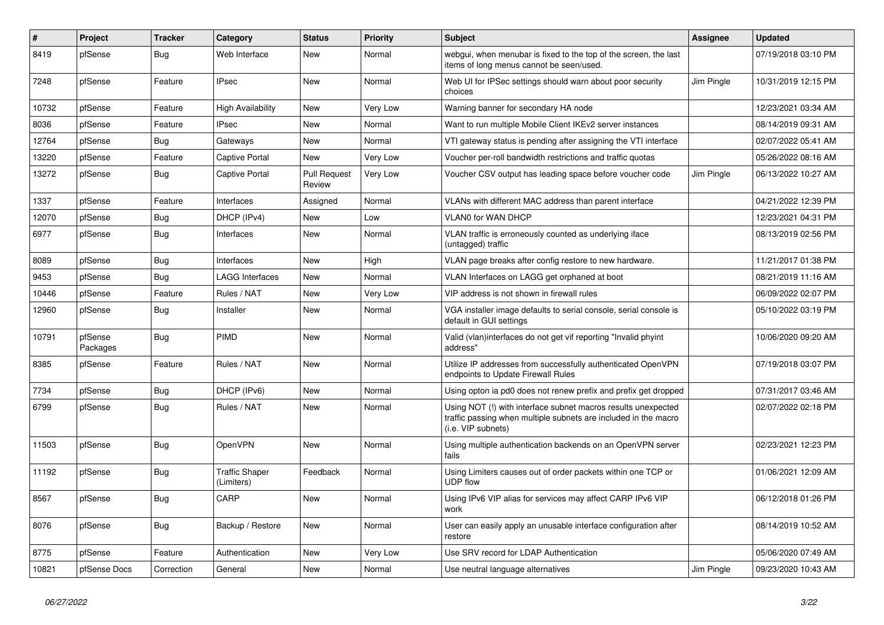| #     | Project             | <b>Tracker</b> | Category                            | <b>Status</b>                 | Priority | <b>Subject</b>                                                                                                                                         | <b>Assignee</b> | <b>Updated</b>      |
|-------|---------------------|----------------|-------------------------------------|-------------------------------|----------|--------------------------------------------------------------------------------------------------------------------------------------------------------|-----------------|---------------------|
| 8419  | pfSense             | Bug            | Web Interface                       | New                           | Normal   | webgui, when menubar is fixed to the top of the screen, the last<br>items of long menus cannot be seen/used.                                           |                 | 07/19/2018 03:10 PM |
| 7248  | pfSense             | Feature        | <b>IPsec</b>                        | New                           | Normal   | Web UI for IPSec settings should warn about poor security<br>choices                                                                                   | Jim Pingle      | 10/31/2019 12:15 PM |
| 10732 | pfSense             | Feature        | High Availability                   | New                           | Very Low | Warning banner for secondary HA node                                                                                                                   |                 | 12/23/2021 03:34 AM |
| 8036  | pfSense             | Feature        | <b>IPsec</b>                        | New                           | Normal   | Want to run multiple Mobile Client IKEv2 server instances                                                                                              |                 | 08/14/2019 09:31 AM |
| 12764 | pfSense             | Bug            | Gateways                            | <b>New</b>                    | Normal   | VTI gateway status is pending after assigning the VTI interface                                                                                        |                 | 02/07/2022 05:41 AM |
| 13220 | pfSense             | Feature        | Captive Portal                      | <b>New</b>                    | Very Low | Voucher per-roll bandwidth restrictions and traffic quotas                                                                                             |                 | 05/26/2022 08:16 AM |
| 13272 | pfSense             | Bug            | Captive Portal                      | <b>Pull Request</b><br>Review | Very Low | Voucher CSV output has leading space before voucher code                                                                                               | Jim Pingle      | 06/13/2022 10:27 AM |
| 1337  | pfSense             | Feature        | Interfaces                          | Assigned                      | Normal   | VLANs with different MAC address than parent interface                                                                                                 |                 | 04/21/2022 12:39 PM |
| 12070 | pfSense             | Bug            | DHCP (IPv4)                         | New                           | Low      | <b>VLANO for WAN DHCP</b>                                                                                                                              |                 | 12/23/2021 04:31 PM |
| 6977  | pfSense             | Bug            | Interfaces                          | New                           | Normal   | VLAN traffic is erroneously counted as underlying iface<br>(untagged) traffic                                                                          |                 | 08/13/2019 02:56 PM |
| 8089  | pfSense             | Bug            | Interfaces                          | New                           | High     | VLAN page breaks after config restore to new hardware.                                                                                                 |                 | 11/21/2017 01:38 PM |
| 9453  | pfSense             | Bug            | LAGG Interfaces                     | <b>New</b>                    | Normal   | VLAN Interfaces on LAGG get orphaned at boot                                                                                                           |                 | 08/21/2019 11:16 AM |
| 10446 | pfSense             | Feature        | Rules / NAT                         | <b>New</b>                    | Very Low | VIP address is not shown in firewall rules                                                                                                             |                 | 06/09/2022 02:07 PM |
| 12960 | pfSense             | Bug            | Installer                           | <b>New</b>                    | Normal   | VGA installer image defaults to serial console, serial console is<br>default in GUI settings                                                           |                 | 05/10/2022 03:19 PM |
| 10791 | pfSense<br>Packages | Bug            | <b>PIMD</b>                         | <b>New</b>                    | Normal   | Valid (vlan) interfaces do not get vif reporting "Invalid phyint<br>address"                                                                           |                 | 10/06/2020 09:20 AM |
| 8385  | pfSense             | Feature        | Rules / NAT                         | New                           | Normal   | Utilize IP addresses from successfully authenticated OpenVPN<br>endpoints to Update Firewall Rules                                                     |                 | 07/19/2018 03:07 PM |
| 7734  | pfSense             | Bug            | DHCP (IPv6)                         | <b>New</b>                    | Normal   | Using opton ia pd0 does not renew prefix and prefix get dropped                                                                                        |                 | 07/31/2017 03:46 AM |
| 6799  | pfSense             | Bug            | Rules / NAT                         | <b>New</b>                    | Normal   | Using NOT (!) with interface subnet macros results unexpected<br>traffic passing when multiple subnets are included in the macro<br>(i.e. VIP subnets) |                 | 02/07/2022 02:18 PM |
| 11503 | pfSense             | Bug            | OpenVPN                             | New                           | Normal   | Using multiple authentication backends on an OpenVPN server<br>fails                                                                                   |                 | 02/23/2021 12:23 PM |
| 11192 | pfSense             | <b>Bug</b>     | <b>Traffic Shaper</b><br>(Limiters) | Feedback                      | Normal   | Using Limiters causes out of order packets within one TCP or<br><b>UDP flow</b>                                                                        |                 | 01/06/2021 12:09 AM |
| 8567  | pfSense             | Bug            | CARP                                | <b>New</b>                    | Normal   | Using IPv6 VIP alias for services may affect CARP IPv6 VIP<br>work                                                                                     |                 | 06/12/2018 01:26 PM |
| 8076  | pfSense             | Bug            | Backup / Restore                    | New                           | Normal   | User can easily apply an unusable interface configuration after<br>restore                                                                             |                 | 08/14/2019 10:52 AM |
| 8775  | pfSense             | Feature        | Authentication                      | New                           | Very Low | Use SRV record for LDAP Authentication                                                                                                                 |                 | 05/06/2020 07:49 AM |
| 10821 | pfSense Docs        | Correction     | General                             | <b>New</b>                    | Normal   | Use neutral language alternatives                                                                                                                      | Jim Pingle      | 09/23/2020 10:43 AM |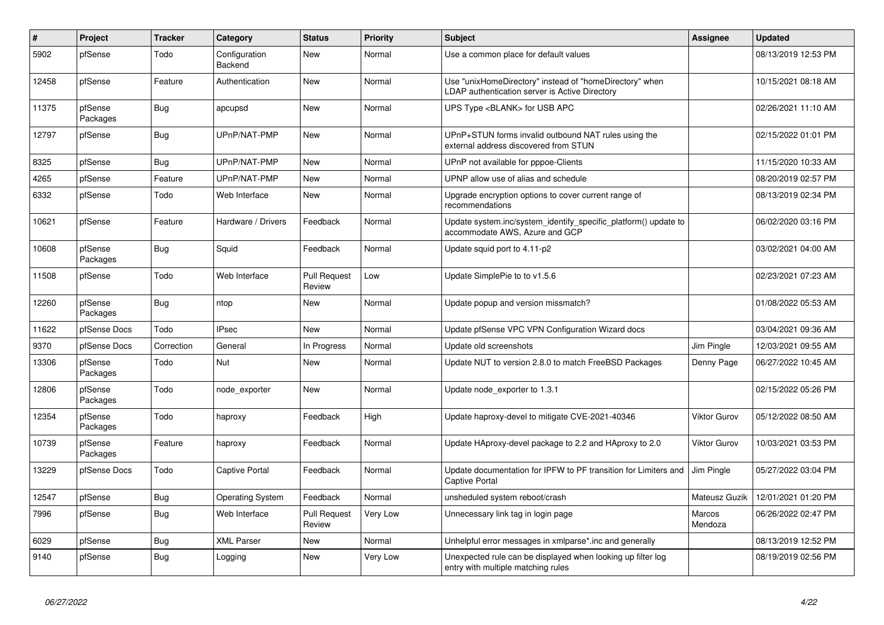| $\#$  | Project             | <b>Tracker</b> | Category                        | <b>Status</b>                 | <b>Priority</b> | <b>Subject</b>                                                                                            | Assignee            | <b>Updated</b>      |
|-------|---------------------|----------------|---------------------------------|-------------------------------|-----------------|-----------------------------------------------------------------------------------------------------------|---------------------|---------------------|
| 5902  | pfSense             | Todo           | Configuration<br><b>Backend</b> | New                           | Normal          | Use a common place for default values                                                                     |                     | 08/13/2019 12:53 PM |
| 12458 | pfSense             | Feature        | Authentication                  | <b>New</b>                    | Normal          | Use "unixHomeDirectory" instead of "homeDirectory" when<br>LDAP authentication server is Active Directory |                     | 10/15/2021 08:18 AM |
| 11375 | pfSense<br>Packages | <b>Bug</b>     | apcupsd                         | <b>New</b>                    | Normal          | UPS Type <blank> for USB APC</blank>                                                                      |                     | 02/26/2021 11:10 AM |
| 12797 | pfSense             | <b>Bug</b>     | UPnP/NAT-PMP                    | New                           | Normal          | UPnP+STUN forms invalid outbound NAT rules using the<br>external address discovered from STUN             |                     | 02/15/2022 01:01 PM |
| 8325  | pfSense             | Bug            | UPnP/NAT-PMP                    | <b>New</b>                    | Normal          | UPnP not available for pppoe-Clients                                                                      |                     | 11/15/2020 10:33 AM |
| 4265  | pfSense             | Feature        | UPnP/NAT-PMP                    | <b>New</b>                    | Normal          | UPNP allow use of alias and schedule                                                                      |                     | 08/20/2019 02:57 PM |
| 6332  | pfSense             | Todo           | Web Interface                   | New                           | Normal          | Upgrade encryption options to cover current range of<br>recommendations                                   |                     | 08/13/2019 02:34 PM |
| 10621 | pfSense             | Feature        | Hardware / Drivers              | Feedback                      | Normal          | Update system.inc/system_identify_specific_platform() update to<br>accommodate AWS, Azure and GCP         |                     | 06/02/2020 03:16 PM |
| 10608 | pfSense<br>Packages | <b>Bug</b>     | Squid                           | Feedback                      | Normal          | Update squid port to 4.11-p2                                                                              |                     | 03/02/2021 04:00 AM |
| 11508 | pfSense             | Todo           | Web Interface                   | <b>Pull Request</b><br>Review | Low             | Update SimplePie to to v1.5.6                                                                             |                     | 02/23/2021 07:23 AM |
| 12260 | pfSense<br>Packages | Bug            | ntop                            | New                           | Normal          | Update popup and version missmatch?                                                                       |                     | 01/08/2022 05:53 AM |
| 11622 | pfSense Docs        | Todo           | <b>IPsec</b>                    | <b>New</b>                    | Normal          | Update pfSense VPC VPN Configuration Wizard docs                                                          |                     | 03/04/2021 09:36 AM |
| 9370  | pfSense Docs        | Correction     | General                         | In Progress                   | Normal          | Update old screenshots                                                                                    | Jim Pingle          | 12/03/2021 09:55 AM |
| 13306 | pfSense<br>Packages | Todo           | Nut                             | New                           | Normal          | Update NUT to version 2.8.0 to match FreeBSD Packages                                                     | Denny Page          | 06/27/2022 10:45 AM |
| 12806 | pfSense<br>Packages | Todo           | node exporter                   | New                           | Normal          | Update node exporter to 1.3.1                                                                             |                     | 02/15/2022 05:26 PM |
| 12354 | pfSense<br>Packages | Todo           | haproxy                         | Feedback                      | High            | Update haproxy-devel to mitigate CVE-2021-40346                                                           | Viktor Gurov        | 05/12/2022 08:50 AM |
| 10739 | pfSense<br>Packages | Feature        | haproxy                         | Feedback                      | Normal          | Update HAproxy-devel package to 2.2 and HAproxy to 2.0                                                    | <b>Viktor Gurov</b> | 10/03/2021 03:53 PM |
| 13229 | pfSense Docs        | Todo           | Captive Portal                  | Feedback                      | Normal          | Update documentation for IPFW to PF transition for Limiters and<br><b>Captive Portal</b>                  | Jim Pingle          | 05/27/2022 03:04 PM |
| 12547 | pfSense             | <b>Bug</b>     | <b>Operating System</b>         | Feedback                      | Normal          | unsheduled system reboot/crash                                                                            | Mateusz Guzik       | 12/01/2021 01:20 PM |
| 7996  | pfSense             | <b>Bug</b>     | Web Interface                   | <b>Pull Request</b><br>Review | Very Low        | Unnecessary link tag in login page                                                                        | Marcos<br>Mendoza   | 06/26/2022 02:47 PM |
| 6029  | pfSense             | <b>Bug</b>     | <b>XML Parser</b>               | New                           | Normal          | Unhelpful error messages in xmlparse*.inc and generally                                                   |                     | 08/13/2019 12:52 PM |
| 9140  | pfSense             | <b>Bug</b>     | Logging                         | <b>New</b>                    | Very Low        | Unexpected rule can be displayed when looking up filter log<br>entry with multiple matching rules         |                     | 08/19/2019 02:56 PM |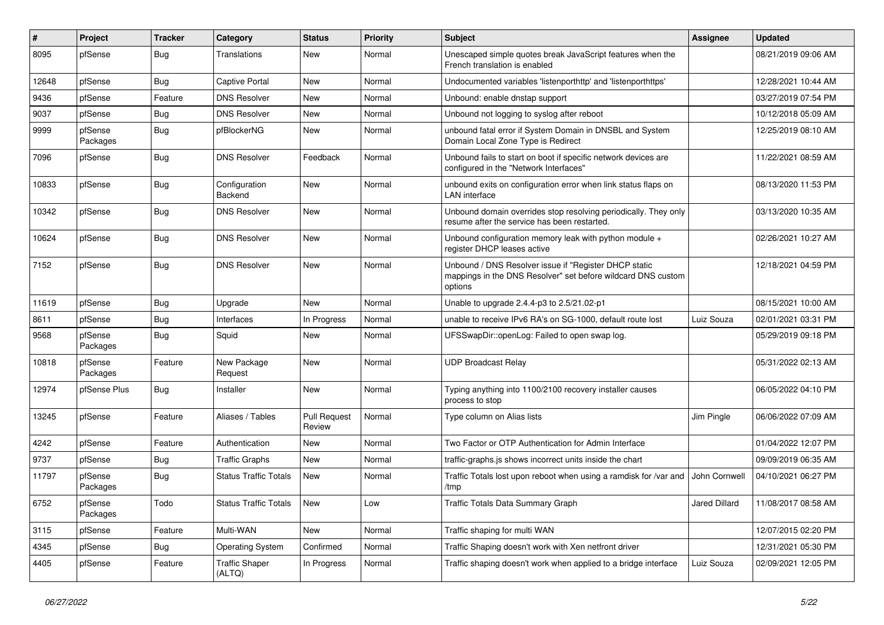| #     | Project             | <b>Tracker</b> | Category                        | <b>Status</b>                 | <b>Priority</b> | <b>Subject</b>                                                                                                                   | <b>Assignee</b> | <b>Updated</b>      |
|-------|---------------------|----------------|---------------------------------|-------------------------------|-----------------|----------------------------------------------------------------------------------------------------------------------------------|-----------------|---------------------|
| 8095  | pfSense             | <b>Bug</b>     | Translations                    | New                           | Normal          | Unescaped simple quotes break JavaScript features when the<br>French translation is enabled                                      |                 | 08/21/2019 09:06 AM |
| 12648 | pfSense             | <b>Bug</b>     | <b>Captive Portal</b>           | New                           | Normal          | Undocumented variables 'listenporthttp' and 'listenporthttps'                                                                    |                 | 12/28/2021 10:44 AM |
| 9436  | pfSense             | Feature        | <b>DNS Resolver</b>             | New                           | Normal          | Unbound: enable dnstap support                                                                                                   |                 | 03/27/2019 07:54 PM |
| 9037  | pfSense             | <b>Bug</b>     | <b>DNS Resolver</b>             | <b>New</b>                    | Normal          | Unbound not logging to syslog after reboot                                                                                       |                 | 10/12/2018 05:09 AM |
| 9999  | pfSense<br>Packages | Bug            | pfBlockerNG                     | New                           | Normal          | unbound fatal error if System Domain in DNSBL and System<br>Domain Local Zone Type is Redirect                                   |                 | 12/25/2019 08:10 AM |
| 7096  | pfSense             | Bug            | <b>DNS Resolver</b>             | Feedback                      | Normal          | Unbound fails to start on boot if specific network devices are<br>configured in the "Network Interfaces"                         |                 | 11/22/2021 08:59 AM |
| 10833 | pfSense             | Bug            | Configuration<br>Backend        | <b>New</b>                    | Normal          | unbound exits on configuration error when link status flaps on<br><b>LAN</b> interface                                           |                 | 08/13/2020 11:53 PM |
| 10342 | pfSense             | Bug            | <b>DNS Resolver</b>             | <b>New</b>                    | Normal          | Unbound domain overrides stop resolving periodically. They only<br>resume after the service has been restarted.                  |                 | 03/13/2020 10:35 AM |
| 10624 | pfSense             | <b>Bug</b>     | <b>DNS Resolver</b>             | <b>New</b>                    | Normal          | Unbound configuration memory leak with python module $+$<br>register DHCP leases active                                          |                 | 02/26/2021 10:27 AM |
| 7152  | pfSense             | <b>Bug</b>     | <b>DNS Resolver</b>             | <b>New</b>                    | Normal          | Unbound / DNS Resolver issue if "Register DHCP static<br>mappings in the DNS Resolver" set before wildcard DNS custom<br>options |                 | 12/18/2021 04:59 PM |
| 11619 | pfSense             | <b>Bug</b>     | Upgrade                         | <b>New</b>                    | Normal          | Unable to upgrade 2.4.4-p3 to 2.5/21.02-p1                                                                                       |                 | 08/15/2021 10:00 AM |
| 8611  | pfSense             | <b>Bug</b>     | Interfaces                      | In Progress                   | Normal          | unable to receive IPv6 RA's on SG-1000, default route lost                                                                       | Luiz Souza      | 02/01/2021 03:31 PM |
| 9568  | pfSense<br>Packages | Bug            | Squid                           | New                           | Normal          | UFSSwapDir::openLog: Failed to open swap log.                                                                                    |                 | 05/29/2019 09:18 PM |
| 10818 | pfSense<br>Packages | Feature        | New Package<br>Request          | <b>New</b>                    | Normal          | <b>UDP Broadcast Relay</b>                                                                                                       |                 | 05/31/2022 02:13 AM |
| 12974 | pfSense Plus        | <b>Bug</b>     | Installer                       | New                           | Normal          | Typing anything into 1100/2100 recovery installer causes<br>process to stop                                                      |                 | 06/05/2022 04:10 PM |
| 13245 | pfSense             | Feature        | Aliases / Tables                | <b>Pull Request</b><br>Review | Normal          | Type column on Alias lists                                                                                                       | Jim Pingle      | 06/06/2022 07:09 AM |
| 4242  | pfSense             | Feature        | Authentication                  | <b>New</b>                    | Normal          | Two Factor or OTP Authentication for Admin Interface                                                                             |                 | 01/04/2022 12:07 PM |
| 9737  | pfSense             | Bug            | <b>Traffic Graphs</b>           | <b>New</b>                    | Normal          | traffic-graphs.js shows incorrect units inside the chart                                                                         |                 | 09/09/2019 06:35 AM |
| 11797 | pfSense<br>Packages | Bug            | <b>Status Traffic Totals</b>    | New                           | Normal          | Traffic Totals lost upon reboot when using a ramdisk for /var and<br>/tmp                                                        | John Cornwell   | 04/10/2021 06:27 PM |
| 6752  | pfSense<br>Packages | Todo           | <b>Status Traffic Totals</b>    | New                           | Low             | Traffic Totals Data Summary Graph                                                                                                | Jared Dillard   | 11/08/2017 08:58 AM |
| 3115  | pfSense             | Feature        | Multi-WAN                       | New                           | Normal          | Traffic shaping for multi WAN                                                                                                    |                 | 12/07/2015 02:20 PM |
| 4345  | pfSense             | <b>Bug</b>     | Operating System                | Confirmed                     | Normal          | Traffic Shaping doesn't work with Xen netfront driver                                                                            |                 | 12/31/2021 05:30 PM |
| 4405  | pfSense             | Feature        | <b>Traffic Shaper</b><br>(ALTQ) | In Progress                   | Normal          | Traffic shaping doesn't work when applied to a bridge interface                                                                  | Luiz Souza      | 02/09/2021 12:05 PM |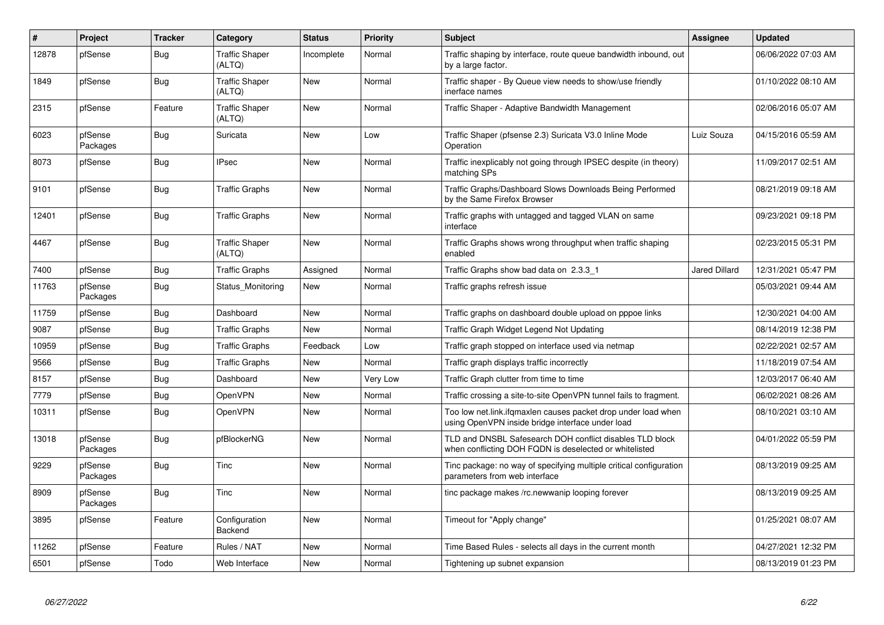| $\vert$ # | <b>Project</b>      | <b>Tracker</b> | Category                        | <b>Status</b> | <b>Priority</b> | <b>Subject</b>                                                                                                     | Assignee             | <b>Updated</b>      |
|-----------|---------------------|----------------|---------------------------------|---------------|-----------------|--------------------------------------------------------------------------------------------------------------------|----------------------|---------------------|
| 12878     | pfSense             | <b>Bug</b>     | <b>Traffic Shaper</b><br>(ALTQ) | Incomplete    | Normal          | Traffic shaping by interface, route queue bandwidth inbound, out<br>by a large factor.                             |                      | 06/06/2022 07:03 AM |
| 1849      | pfSense             | <b>Bug</b>     | <b>Traffic Shaper</b><br>(ALTQ) | New           | Normal          | Traffic shaper - By Queue view needs to show/use friendly<br>inerface names                                        |                      | 01/10/2022 08:10 AM |
| 2315      | pfSense             | Feature        | <b>Traffic Shaper</b><br>(ALTQ) | <b>New</b>    | Normal          | Traffic Shaper - Adaptive Bandwidth Management                                                                     |                      | 02/06/2016 05:07 AM |
| 6023      | pfSense<br>Packages | <b>Bug</b>     | Suricata                        | <b>New</b>    | Low             | Traffic Shaper (pfsense 2.3) Suricata V3.0 Inline Mode<br>Operation                                                | Luiz Souza           | 04/15/2016 05:59 AM |
| 8073      | pfSense             | <b>Bug</b>     | <b>IPsec</b>                    | <b>New</b>    | Normal          | Traffic inexplicably not going through IPSEC despite (in theory)<br>matching SPs                                   |                      | 11/09/2017 02:51 AM |
| 9101      | pfSense             | <b>Bug</b>     | <b>Traffic Graphs</b>           | <b>New</b>    | Normal          | Traffic Graphs/Dashboard Slows Downloads Being Performed<br>by the Same Firefox Browser                            |                      | 08/21/2019 09:18 AM |
| 12401     | pfSense             | <b>Bug</b>     | <b>Traffic Graphs</b>           | <b>New</b>    | Normal          | Traffic graphs with untagged and tagged VLAN on same<br>interface                                                  |                      | 09/23/2021 09:18 PM |
| 4467      | pfSense             | Bug            | <b>Traffic Shaper</b><br>(ALTQ) | <b>New</b>    | Normal          | Traffic Graphs shows wrong throughput when traffic shaping<br>enabled                                              |                      | 02/23/2015 05:31 PM |
| 7400      | pfSense             | <b>Bug</b>     | <b>Traffic Graphs</b>           | Assigned      | Normal          | Traffic Graphs show bad data on 2.3.3 1                                                                            | <b>Jared Dillard</b> | 12/31/2021 05:47 PM |
| 11763     | pfSense<br>Packages | <b>Bug</b>     | Status Monitoring               | New           | Normal          | Traffic graphs refresh issue                                                                                       |                      | 05/03/2021 09:44 AM |
| 11759     | pfSense             | <b>Bug</b>     | Dashboard                       | New           | Normal          | Traffic graphs on dashboard double upload on pppoe links                                                           |                      | 12/30/2021 04:00 AM |
| 9087      | pfSense             | Bug            | <b>Traffic Graphs</b>           | <b>New</b>    | Normal          | Traffic Graph Widget Legend Not Updating                                                                           |                      | 08/14/2019 12:38 PM |
| 10959     | pfSense             | <b>Bug</b>     | <b>Traffic Graphs</b>           | Feedback      | Low             | Traffic graph stopped on interface used via netmap                                                                 |                      | 02/22/2021 02:57 AM |
| 9566      | pfSense             | <b>Bug</b>     | <b>Traffic Graphs</b>           | <b>New</b>    | Normal          | Traffic graph displays traffic incorrectly                                                                         |                      | 11/18/2019 07:54 AM |
| 8157      | pfSense             | <b>Bug</b>     | Dashboard                       | New           | Very Low        | Traffic Graph clutter from time to time                                                                            |                      | 12/03/2017 06:40 AM |
| 7779      | pfSense             | <b>Bug</b>     | OpenVPN                         | <b>New</b>    | Normal          | Traffic crossing a site-to-site OpenVPN tunnel fails to fragment.                                                  |                      | 06/02/2021 08:26 AM |
| 10311     | pfSense             | <b>Bug</b>     | OpenVPN                         | New           | Normal          | Too low net.link.ifqmaxlen causes packet drop under load when<br>using OpenVPN inside bridge interface under load  |                      | 08/10/2021 03:10 AM |
| 13018     | pfSense<br>Packages | <b>Bug</b>     | pfBlockerNG                     | New           | Normal          | TLD and DNSBL Safesearch DOH conflict disables TLD block<br>when conflicting DOH FQDN is deselected or whitelisted |                      | 04/01/2022 05:59 PM |
| 9229      | pfSense<br>Packages | <b>Bug</b>     | Tinc                            | New           | Normal          | Tinc package: no way of specifying multiple critical configuration<br>parameters from web interface                |                      | 08/13/2019 09:25 AM |
| 8909      | pfSense<br>Packages | <b>Bug</b>     | Tinc                            | <b>New</b>    | Normal          | tinc package makes /rc.newwanip looping forever                                                                    |                      | 08/13/2019 09:25 AM |
| 3895      | pfSense             | Feature        | Configuration<br><b>Backend</b> | New           | Normal          | Timeout for "Apply change"                                                                                         |                      | 01/25/2021 08:07 AM |
| 11262     | pfSense             | Feature        | Rules / NAT                     | <b>New</b>    | Normal          | Time Based Rules - selects all days in the current month                                                           |                      | 04/27/2021 12:32 PM |
| 6501      | pfSense             | Todo           | Web Interface                   | New           | Normal          | Tightening up subnet expansion                                                                                     |                      | 08/13/2019 01:23 PM |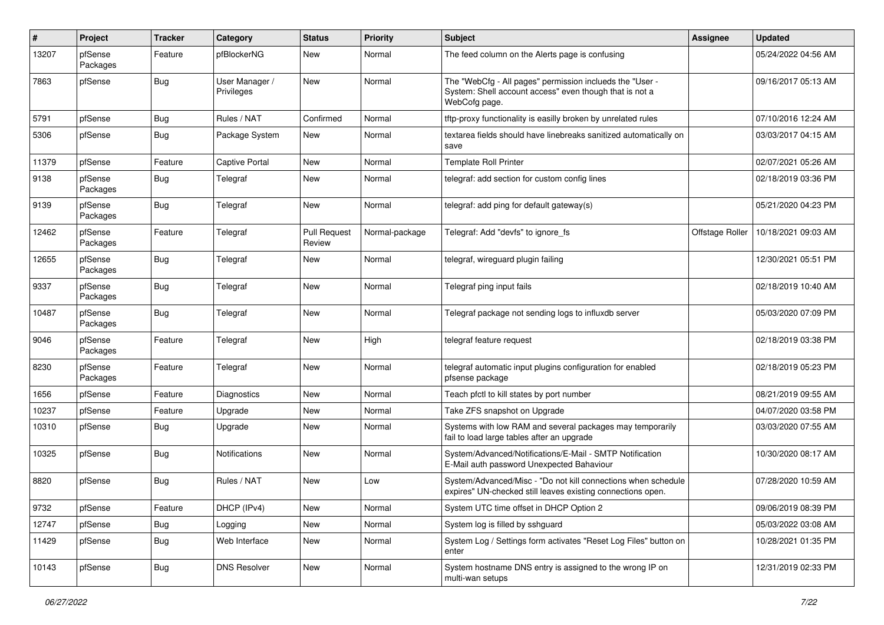| #     | Project             | <b>Tracker</b> | Category                     | <b>Status</b>                 | <b>Priority</b> | Subject                                                                                                                              | <b>Assignee</b> | <b>Updated</b>      |
|-------|---------------------|----------------|------------------------------|-------------------------------|-----------------|--------------------------------------------------------------------------------------------------------------------------------------|-----------------|---------------------|
| 13207 | pfSense<br>Packages | Feature        | pfBlockerNG                  | New                           | Normal          | The feed column on the Alerts page is confusing                                                                                      |                 | 05/24/2022 04:56 AM |
| 7863  | pfSense             | Bug            | User Manager /<br>Privileges | New                           | Normal          | The "WebCfg - All pages" permission inclueds the "User -<br>System: Shell account access" even though that is not a<br>WebCofg page. |                 | 09/16/2017 05:13 AM |
| 5791  | pfSense             | <b>Bug</b>     | Rules / NAT                  | Confirmed                     | Normal          | tftp-proxy functionality is easilly broken by unrelated rules                                                                        |                 | 07/10/2016 12:24 AM |
| 5306  | pfSense             | Bug            | Package System               | New                           | Normal          | textarea fields should have linebreaks sanitized automatically on<br>save                                                            |                 | 03/03/2017 04:15 AM |
| 11379 | pfSense             | Feature        | Captive Portal               | New                           | Normal          | <b>Template Roll Printer</b>                                                                                                         |                 | 02/07/2021 05:26 AM |
| 9138  | pfSense<br>Packages | Bug            | Telegraf                     | New                           | Normal          | telegraf: add section for custom config lines                                                                                        |                 | 02/18/2019 03:36 PM |
| 9139  | pfSense<br>Packages | Bug            | Telegraf                     | New                           | Normal          | telegraf: add ping for default gateway(s)                                                                                            |                 | 05/21/2020 04:23 PM |
| 12462 | pfSense<br>Packages | Feature        | Telegraf                     | <b>Pull Request</b><br>Review | Normal-package  | Telegraf: Add "devfs" to ignore fs                                                                                                   | Offstage Roller | 10/18/2021 09:03 AM |
| 12655 | pfSense<br>Packages | <b>Bug</b>     | Telegraf                     | <b>New</b>                    | Normal          | telegraf, wireguard plugin failing                                                                                                   |                 | 12/30/2021 05:51 PM |
| 9337  | pfSense<br>Packages | Bug            | Telegraf                     | New                           | Normal          | Telegraf ping input fails                                                                                                            |                 | 02/18/2019 10:40 AM |
| 10487 | pfSense<br>Packages | Bug            | Telegraf                     | New                           | Normal          | Telegraf package not sending logs to influxdb server                                                                                 |                 | 05/03/2020 07:09 PM |
| 9046  | pfSense<br>Packages | Feature        | Telegraf                     | New                           | High            | telegraf feature request                                                                                                             |                 | 02/18/2019 03:38 PM |
| 8230  | pfSense<br>Packages | Feature        | Telegraf                     | New                           | Normal          | telegraf automatic input plugins configuration for enabled<br>pfsense package                                                        |                 | 02/18/2019 05:23 PM |
| 1656  | pfSense             | Feature        | Diagnostics                  | <b>New</b>                    | Normal          | Teach pfctl to kill states by port number                                                                                            |                 | 08/21/2019 09:55 AM |
| 10237 | pfSense             | Feature        | Upgrade                      | <b>New</b>                    | Normal          | Take ZFS snapshot on Upgrade                                                                                                         |                 | 04/07/2020 03:58 PM |
| 10310 | pfSense             | Bug            | Upgrade                      | New                           | Normal          | Systems with low RAM and several packages may temporarily<br>fail to load large tables after an upgrade                              |                 | 03/03/2020 07:55 AM |
| 10325 | pfSense             | <b>Bug</b>     | <b>Notifications</b>         | New                           | Normal          | System/Advanced/Notifications/E-Mail - SMTP Notification<br>E-Mail auth password Unexpected Bahaviour                                |                 | 10/30/2020 08:17 AM |
| 8820  | pfSense             | Bug            | Rules / NAT                  | New                           | Low             | System/Advanced/Misc - "Do not kill connections when schedule<br>expires" UN-checked still leaves existing connections open.         |                 | 07/28/2020 10:59 AM |
| 9732  | pfSense             | Feature        | DHCP (IPv4)                  | New                           | Normal          | System UTC time offset in DHCP Option 2                                                                                              |                 | 09/06/2019 08:39 PM |
| 12747 | pfSense             | <b>Bug</b>     | Logging                      | New                           | Normal          | System log is filled by sshguard                                                                                                     |                 | 05/03/2022 03:08 AM |
| 11429 | pfSense             | Bug            | Web Interface                | New                           | Normal          | System Log / Settings form activates "Reset Log Files" button on<br>enter                                                            |                 | 10/28/2021 01:35 PM |
| 10143 | pfSense             | i Bug          | <b>DNS Resolver</b>          | New                           | Normal          | System hostname DNS entry is assigned to the wrong IP on<br>multi-wan setups                                                         |                 | 12/31/2019 02:33 PM |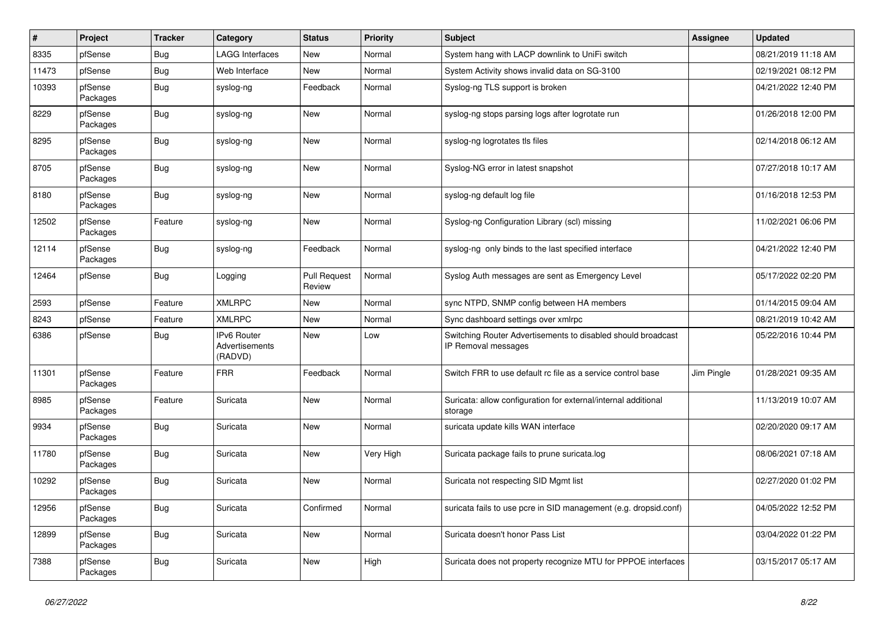| $\#$  | <b>Project</b>      | <b>Tracker</b> | Category                                               | <b>Status</b>                 | Priority  | <b>Subject</b>                                                                      | <b>Assignee</b> | <b>Updated</b>      |
|-------|---------------------|----------------|--------------------------------------------------------|-------------------------------|-----------|-------------------------------------------------------------------------------------|-----------------|---------------------|
| 8335  | pfSense             | <b>Bug</b>     | <b>LAGG Interfaces</b>                                 | <b>New</b>                    | Normal    | System hang with LACP downlink to UniFi switch                                      |                 | 08/21/2019 11:18 AM |
| 11473 | pfSense             | <b>Bug</b>     | Web Interface                                          | <b>New</b>                    | Normal    | System Activity shows invalid data on SG-3100                                       |                 | 02/19/2021 08:12 PM |
| 10393 | pfSense<br>Packages | Bug            | syslog-ng                                              | Feedback                      | Normal    | Syslog-ng TLS support is broken                                                     |                 | 04/21/2022 12:40 PM |
| 8229  | pfSense<br>Packages | Bug            | syslog-ng                                              | <b>New</b>                    | Normal    | syslog-ng stops parsing logs after logrotate run                                    |                 | 01/26/2018 12:00 PM |
| 8295  | pfSense<br>Packages | Bug            | syslog-ng                                              | <b>New</b>                    | Normal    | syslog-ng logrotates tls files                                                      |                 | 02/14/2018 06:12 AM |
| 8705  | pfSense<br>Packages | Bug            | syslog-ng                                              | New                           | Normal    | Syslog-NG error in latest snapshot                                                  |                 | 07/27/2018 10:17 AM |
| 8180  | pfSense<br>Packages | Bug            | syslog-ng                                              | <b>New</b>                    | Normal    | syslog-ng default log file                                                          |                 | 01/16/2018 12:53 PM |
| 12502 | pfSense<br>Packages | Feature        | syslog-ng                                              | <b>New</b>                    | Normal    | Syslog-ng Configuration Library (scl) missing                                       |                 | 11/02/2021 06:06 PM |
| 12114 | pfSense<br>Packages | <b>Bug</b>     | syslog-ng                                              | Feedback                      | Normal    | syslog-ng only binds to the last specified interface                                |                 | 04/21/2022 12:40 PM |
| 12464 | pfSense             | Bug            | Logging                                                | <b>Pull Request</b><br>Review | Normal    | Syslog Auth messages are sent as Emergency Level                                    |                 | 05/17/2022 02:20 PM |
| 2593  | pfSense             | Feature        | <b>XMLRPC</b>                                          | <b>New</b>                    | Normal    | sync NTPD, SNMP config between HA members                                           |                 | 01/14/2015 09:04 AM |
| 8243  | pfSense             | Feature        | <b>XMLRPC</b>                                          | <b>New</b>                    | Normal    | Sync dashboard settings over xmlrpc                                                 |                 | 08/21/2019 10:42 AM |
| 6386  | pfSense             | Bug            | <b>IPv6 Router</b><br><b>Advertisements</b><br>(RADVD) | <b>New</b>                    | Low       | Switching Router Advertisements to disabled should broadcast<br>IP Removal messages |                 | 05/22/2016 10:44 PM |
| 11301 | pfSense<br>Packages | Feature        | <b>FRR</b>                                             | Feedback                      | Normal    | Switch FRR to use default rc file as a service control base                         | Jim Pingle      | 01/28/2021 09:35 AM |
| 8985  | pfSense<br>Packages | Feature        | Suricata                                               | <b>New</b>                    | Normal    | Suricata: allow configuration for external/internal additional<br>storage           |                 | 11/13/2019 10:07 AM |
| 9934  | pfSense<br>Packages | Bug            | Suricata                                               | <b>New</b>                    | Normal    | suricata update kills WAN interface                                                 |                 | 02/20/2020 09:17 AM |
| 11780 | pfSense<br>Packages | Bug            | Suricata                                               | <b>New</b>                    | Very High | Suricata package fails to prune suricata.log                                        |                 | 08/06/2021 07:18 AM |
| 10292 | pfSense<br>Packages | <b>Bug</b>     | Suricata                                               | <b>New</b>                    | Normal    | Suricata not respecting SID Mgmt list                                               |                 | 02/27/2020 01:02 PM |
| 12956 | pfSense<br>Packages | Bug            | Suricata                                               | Confirmed                     | Normal    | suricata fails to use pcre in SID management (e.g. dropsid.conf)                    |                 | 04/05/2022 12:52 PM |
| 12899 | pfSense<br>Packages | Bug            | Suricata                                               | <b>New</b>                    | Normal    | Suricata doesn't honor Pass List                                                    |                 | 03/04/2022 01:22 PM |
| 7388  | pfSense<br>Packages | Bug            | Suricata                                               | <b>New</b>                    | High      | Suricata does not property recognize MTU for PPPOE interfaces                       |                 | 03/15/2017 05:17 AM |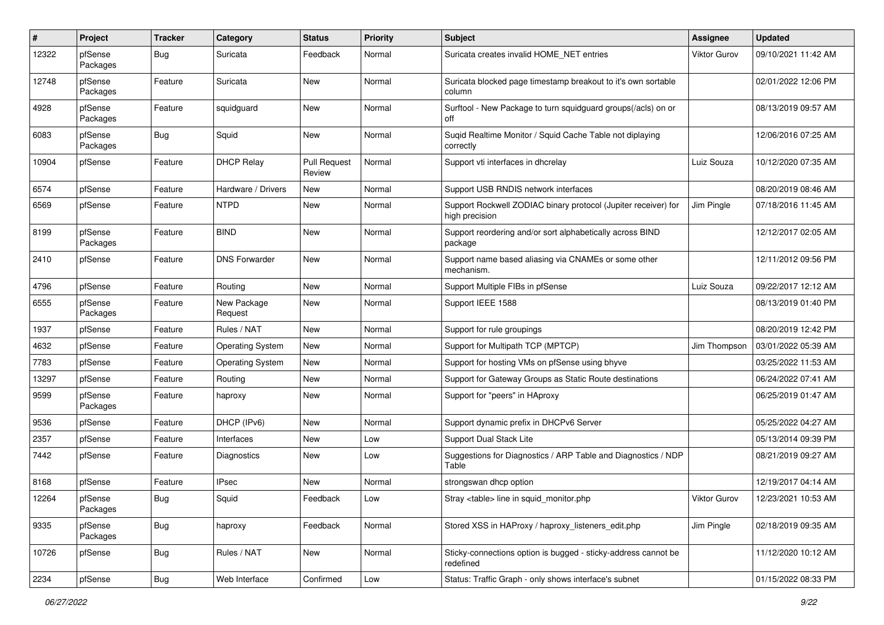| #     | Project             | <b>Tracker</b> | Category                | <b>Status</b>                 | <b>Priority</b> | Subject                                                                          | <b>Assignee</b> | <b>Updated</b>      |
|-------|---------------------|----------------|-------------------------|-------------------------------|-----------------|----------------------------------------------------------------------------------|-----------------|---------------------|
| 12322 | pfSense<br>Packages | <b>Bug</b>     | Suricata                | Feedback                      | Normal          | Suricata creates invalid HOME NET entries                                        | Viktor Gurov    | 09/10/2021 11:42 AM |
| 12748 | pfSense<br>Packages | Feature        | Suricata                | New                           | Normal          | Suricata blocked page timestamp breakout to it's own sortable<br>column          |                 | 02/01/2022 12:06 PM |
| 4928  | pfSense<br>Packages | Feature        | squidguard              | <b>New</b>                    | Normal          | Surftool - New Package to turn squidguard groups(/acls) on or<br>off             |                 | 08/13/2019 09:57 AM |
| 6083  | pfSense<br>Packages | Bug            | Squid                   | New                           | Normal          | Suqid Realtime Monitor / Squid Cache Table not diplaying<br>correctly            |                 | 12/06/2016 07:25 AM |
| 10904 | pfSense             | Feature        | <b>DHCP Relay</b>       | <b>Pull Request</b><br>Review | Normal          | Support vti interfaces in dhcrelay                                               | Luiz Souza      | 10/12/2020 07:35 AM |
| 6574  | pfSense             | Feature        | Hardware / Drivers      | New                           | Normal          | Support USB RNDIS network interfaces                                             |                 | 08/20/2019 08:46 AM |
| 6569  | pfSense             | Feature        | <b>NTPD</b>             | New                           | Normal          | Support Rockwell ZODIAC binary protocol (Jupiter receiver) for<br>high precision | Jim Pingle      | 07/18/2016 11:45 AM |
| 8199  | pfSense<br>Packages | Feature        | <b>BIND</b>             | New                           | Normal          | Support reordering and/or sort alphabetically across BIND<br>package             |                 | 12/12/2017 02:05 AM |
| 2410  | pfSense             | Feature        | <b>DNS Forwarder</b>    | <b>New</b>                    | Normal          | Support name based aliasing via CNAMEs or some other<br>mechanism.               |                 | 12/11/2012 09:56 PM |
| 4796  | pfSense             | Feature        | Routing                 | <b>New</b>                    | Normal          | Support Multiple FIBs in pfSense                                                 | Luiz Souza      | 09/22/2017 12:12 AM |
| 6555  | pfSense<br>Packages | Feature        | New Package<br>Request  | New                           | Normal          | Support IEEE 1588                                                                |                 | 08/13/2019 01:40 PM |
| 1937  | pfSense             | Feature        | Rules / NAT             | <b>New</b>                    | Normal          | Support for rule groupings                                                       |                 | 08/20/2019 12:42 PM |
| 4632  | pfSense             | Feature        | <b>Operating System</b> | New                           | Normal          | Support for Multipath TCP (MPTCP)                                                | Jim Thompson    | 03/01/2022 05:39 AM |
| 7783  | pfSense             | Feature        | <b>Operating System</b> | New                           | Normal          | Support for hosting VMs on pfSense using bhyve                                   |                 | 03/25/2022 11:53 AM |
| 13297 | pfSense             | Feature        | Routing                 | <b>New</b>                    | Normal          | Support for Gateway Groups as Static Route destinations                          |                 | 06/24/2022 07:41 AM |
| 9599  | pfSense<br>Packages | Feature        | haproxy                 | New                           | Normal          | Support for "peers" in HAproxy                                                   |                 | 06/25/2019 01:47 AM |
| 9536  | pfSense             | Feature        | DHCP (IPv6)             | New                           | Normal          | Support dynamic prefix in DHCPv6 Server                                          |                 | 05/25/2022 04:27 AM |
| 2357  | pfSense             | Feature        | Interfaces              | New                           | Low             | Support Dual Stack Lite                                                          |                 | 05/13/2014 09:39 PM |
| 7442  | pfSense             | Feature        | Diagnostics             | New                           | Low             | Suggestions for Diagnostics / ARP Table and Diagnostics / NDP<br>Table           |                 | 08/21/2019 09:27 AM |
| 8168  | pfSense             | Feature        | <b>IPsec</b>            | New                           | Normal          | strongswan dhcp option                                                           |                 | 12/19/2017 04:14 AM |
| 12264 | pfSense<br>Packages | Bug            | Squid                   | Feedback                      | Low             | Stray <table> line in squid_monitor.php</table>                                  | Viktor Gurov    | 12/23/2021 10:53 AM |
| 9335  | pfSense<br>Packages | <b>Bug</b>     | haproxy                 | Feedback                      | Normal          | Stored XSS in HAProxy / haproxy listeners edit.php                               | Jim Pingle      | 02/18/2019 09:35 AM |
| 10726 | pfSense             | <b>Bug</b>     | Rules / NAT             | New                           | Normal          | Sticky-connections option is bugged - sticky-address cannot be<br>redefined      |                 | 11/12/2020 10:12 AM |
| 2234  | pfSense             | <b>Bug</b>     | Web Interface           | Confirmed                     | Low             | Status: Traffic Graph - only shows interface's subnet                            |                 | 01/15/2022 08:33 PM |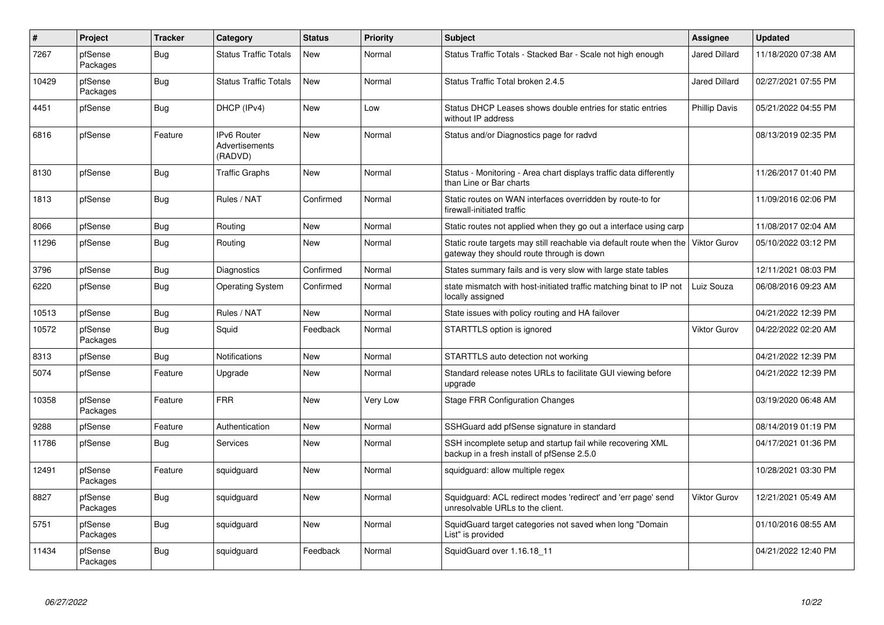| $\pmb{\#}$ | Project             | <b>Tracker</b> | Category                                        | <b>Status</b> | <b>Priority</b> | <b>Subject</b>                                                                                                                | Assignee             | <b>Updated</b>      |
|------------|---------------------|----------------|-------------------------------------------------|---------------|-----------------|-------------------------------------------------------------------------------------------------------------------------------|----------------------|---------------------|
| 7267       | pfSense<br>Packages | Bug            | <b>Status Traffic Totals</b>                    | <b>New</b>    | Normal          | Status Traffic Totals - Stacked Bar - Scale not high enough                                                                   | <b>Jared Dillard</b> | 11/18/2020 07:38 AM |
| 10429      | pfSense<br>Packages | Bug            | <b>Status Traffic Totals</b>                    | New           | Normal          | Status Traffic Total broken 2.4.5                                                                                             | <b>Jared Dillard</b> | 02/27/2021 07:55 PM |
| 4451       | pfSense             | <b>Bug</b>     | DHCP (IPv4)                                     | New           | Low             | Status DHCP Leases shows double entries for static entries<br>without IP address                                              | <b>Phillip Davis</b> | 05/21/2022 04:55 PM |
| 6816       | pfSense             | Feature        | <b>IPv6 Router</b><br>Advertisements<br>(RADVD) | <b>New</b>    | Normal          | Status and/or Diagnostics page for radvd                                                                                      |                      | 08/13/2019 02:35 PM |
| 8130       | pfSense             | Bug            | <b>Traffic Graphs</b>                           | <b>New</b>    | Normal          | Status - Monitoring - Area chart displays traffic data differently<br>than Line or Bar charts                                 |                      | 11/26/2017 01:40 PM |
| 1813       | pfSense             | Bug            | Rules / NAT                                     | Confirmed     | Normal          | Static routes on WAN interfaces overridden by route-to for<br>firewall-initiated traffic                                      |                      | 11/09/2016 02:06 PM |
| 8066       | pfSense             | Bug            | Routing                                         | <b>New</b>    | Normal          | Static routes not applied when they go out a interface using carp                                                             |                      | 11/08/2017 02:04 AM |
| 11296      | pfSense             | <b>Bug</b>     | Routing                                         | <b>New</b>    | Normal          | Static route targets may still reachable via default route when the Viktor Gurov<br>gateway they should route through is down |                      | 05/10/2022 03:12 PM |
| 3796       | pfSense             | <b>Bug</b>     | Diagnostics                                     | Confirmed     | Normal          | States summary fails and is very slow with large state tables                                                                 |                      | 12/11/2021 08:03 PM |
| 6220       | pfSense             | Bug            | <b>Operating System</b>                         | Confirmed     | Normal          | state mismatch with host-initiated traffic matching binat to IP not<br>locally assigned                                       | Luiz Souza           | 06/08/2016 09:23 AM |
| 10513      | pfSense             | Bug            | Rules / NAT                                     | <b>New</b>    | Normal          | State issues with policy routing and HA failover                                                                              |                      | 04/21/2022 12:39 PM |
| 10572      | pfSense<br>Packages | Bug            | Squid                                           | Feedback      | Normal          | STARTTLS option is ignored                                                                                                    | <b>Viktor Gurov</b>  | 04/22/2022 02:20 AM |
| 8313       | pfSense             | Bug            | <b>Notifications</b>                            | <b>New</b>    | Normal          | STARTTLS auto detection not working                                                                                           |                      | 04/21/2022 12:39 PM |
| 5074       | pfSense             | Feature        | Upgrade                                         | <b>New</b>    | Normal          | Standard release notes URLs to facilitate GUI viewing before<br>upgrade                                                       |                      | 04/21/2022 12:39 PM |
| 10358      | pfSense<br>Packages | Feature        | <b>FRR</b>                                      | <b>New</b>    | Very Low        | <b>Stage FRR Configuration Changes</b>                                                                                        |                      | 03/19/2020 06:48 AM |
| 9288       | pfSense             | Feature        | Authentication                                  | <b>New</b>    | Normal          | SSHGuard add pfSense signature in standard                                                                                    |                      | 08/14/2019 01:19 PM |
| 11786      | pfSense             | Bug            | Services                                        | New           | Normal          | SSH incomplete setup and startup fail while recovering XML<br>backup in a fresh install of pfSense 2.5.0                      |                      | 04/17/2021 01:36 PM |
| 12491      | pfSense<br>Packages | Feature        | squidguard                                      | <b>New</b>    | Normal          | squidguard: allow multiple regex                                                                                              |                      | 10/28/2021 03:30 PM |
| 8827       | pfSense<br>Packages | Bug            | squidguard                                      | <b>New</b>    | Normal          | Squidguard: ACL redirect modes 'redirect' and 'err page' send<br>unresolvable URLs to the client.                             | <b>Viktor Gurov</b>  | 12/21/2021 05:49 AM |
| 5751       | pfSense<br>Packages | Bug            | squidguard                                      | New           | Normal          | SquidGuard target categories not saved when long "Domain<br>List" is provided                                                 |                      | 01/10/2016 08:55 AM |
| 11434      | pfSense<br>Packages | Bug            | squidguard                                      | Feedback      | Normal          | SquidGuard over 1.16.18 11                                                                                                    |                      | 04/21/2022 12:40 PM |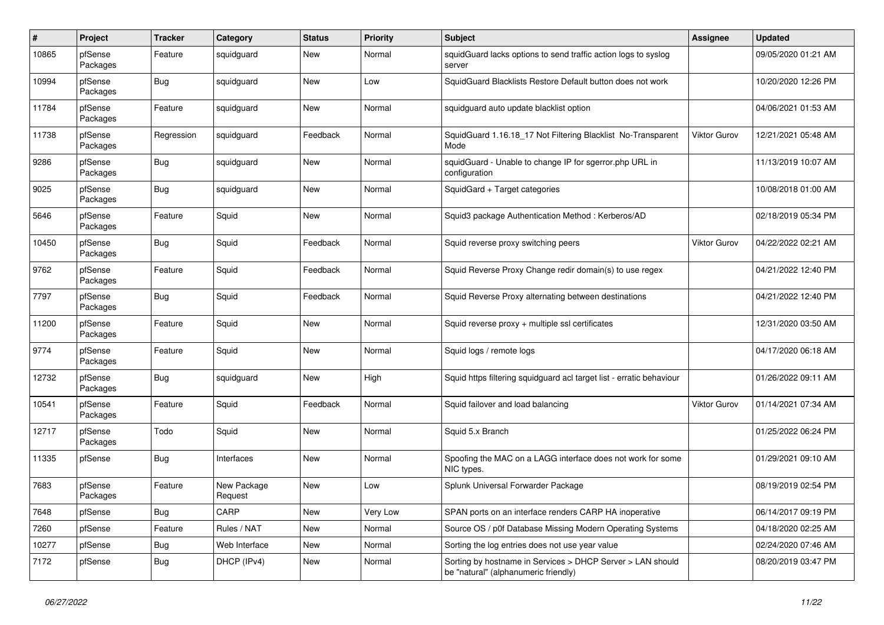| $\#$  | Project             | <b>Tracker</b> | Category               | <b>Status</b> | <b>Priority</b> | <b>Subject</b>                                                                                     | <b>Assignee</b>     | <b>Updated</b>      |
|-------|---------------------|----------------|------------------------|---------------|-----------------|----------------------------------------------------------------------------------------------------|---------------------|---------------------|
| 10865 | pfSense<br>Packages | Feature        | squidguard             | New           | Normal          | squidGuard lacks options to send traffic action logs to syslog<br>server                           |                     | 09/05/2020 01:21 AM |
| 10994 | pfSense<br>Packages | Bug            | squidguard             | New           | Low             | SquidGuard Blacklists Restore Default button does not work                                         |                     | 10/20/2020 12:26 PM |
| 11784 | pfSense<br>Packages | Feature        | squidguard             | New           | Normal          | squidguard auto update blacklist option                                                            |                     | 04/06/2021 01:53 AM |
| 11738 | pfSense<br>Packages | Regression     | squidguard             | Feedback      | Normal          | SquidGuard 1.16.18_17 Not Filtering Blacklist No-Transparent<br>Mode                               | <b>Viktor Gurov</b> | 12/21/2021 05:48 AM |
| 9286  | pfSense<br>Packages | <b>Bug</b>     | squidguard             | New           | Normal          | squidGuard - Unable to change IP for sgerror.php URL in<br>configuration                           |                     | 11/13/2019 10:07 AM |
| 9025  | pfSense<br>Packages | Bug            | squidguard             | New           | Normal          | SquidGard + Target categories                                                                      |                     | 10/08/2018 01:00 AM |
| 5646  | pfSense<br>Packages | Feature        | Squid                  | New           | Normal          | Squid3 package Authentication Method: Kerberos/AD                                                  |                     | 02/18/2019 05:34 PM |
| 10450 | pfSense<br>Packages | <b>Bug</b>     | Squid                  | Feedback      | Normal          | Squid reverse proxy switching peers                                                                | <b>Viktor Gurov</b> | 04/22/2022 02:21 AM |
| 9762  | pfSense<br>Packages | Feature        | Squid                  | Feedback      | Normal          | Squid Reverse Proxy Change redir domain(s) to use regex                                            |                     | 04/21/2022 12:40 PM |
| 7797  | pfSense<br>Packages | <b>Bug</b>     | Squid                  | Feedback      | Normal          | Squid Reverse Proxy alternating between destinations                                               |                     | 04/21/2022 12:40 PM |
| 11200 | pfSense<br>Packages | Feature        | Squid                  | New           | Normal          | Squid reverse proxy + multiple ssl certificates                                                    |                     | 12/31/2020 03:50 AM |
| 9774  | pfSense<br>Packages | Feature        | Squid                  | New           | Normal          | Squid logs / remote logs                                                                           |                     | 04/17/2020 06:18 AM |
| 12732 | pfSense<br>Packages | <b>Bug</b>     | squidguard             | New           | High            | Squid https filtering squidguard acl target list - erratic behaviour                               |                     | 01/26/2022 09:11 AM |
| 10541 | pfSense<br>Packages | Feature        | Squid                  | Feedback      | Normal          | Squid failover and load balancing                                                                  | <b>Viktor Gurov</b> | 01/14/2021 07:34 AM |
| 12717 | pfSense<br>Packages | Todo           | Squid                  | <b>New</b>    | Normal          | Squid 5.x Branch                                                                                   |                     | 01/25/2022 06:24 PM |
| 11335 | pfSense             | Bug            | Interfaces             | New           | Normal          | Spoofing the MAC on a LAGG interface does not work for some<br>NIC types.                          |                     | 01/29/2021 09:10 AM |
| 7683  | pfSense<br>Packages | Feature        | New Package<br>Request | New           | Low             | Splunk Universal Forwarder Package                                                                 |                     | 08/19/2019 02:54 PM |
| 7648  | pfSense             | <b>Bug</b>     | CARP                   | New           | Very Low        | SPAN ports on an interface renders CARP HA inoperative                                             |                     | 06/14/2017 09:19 PM |
| 7260  | pfSense             | Feature        | Rules / NAT            | New           | Normal          | Source OS / p0f Database Missing Modern Operating Systems                                          |                     | 04/18/2020 02:25 AM |
| 10277 | pfSense             | <b>Bug</b>     | Web Interface          | New           | Normal          | Sorting the log entries does not use year value                                                    |                     | 02/24/2020 07:46 AM |
| 7172  | pfSense             | <b>Bug</b>     | DHCP (IPv4)            | New           | Normal          | Sorting by hostname in Services > DHCP Server > LAN should<br>be "natural" (alphanumeric friendly) |                     | 08/20/2019 03:47 PM |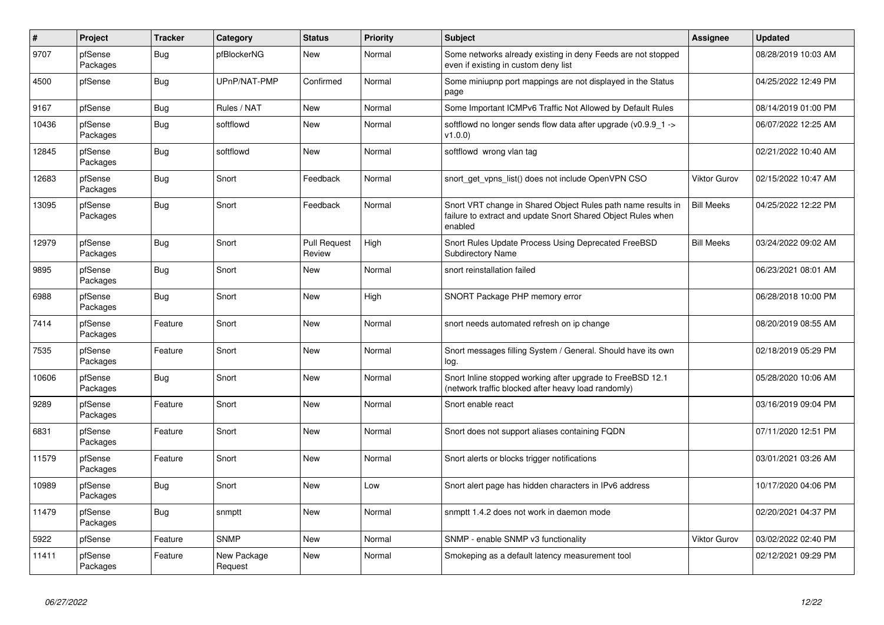| $\sharp$ | Project             | <b>Tracker</b> | Category               | <b>Status</b>                 | Priority | <b>Subject</b>                                                                                                                          | Assignee            | <b>Updated</b>      |
|----------|---------------------|----------------|------------------------|-------------------------------|----------|-----------------------------------------------------------------------------------------------------------------------------------------|---------------------|---------------------|
| 9707     | pfSense<br>Packages | Bug            | pfBlockerNG            | New                           | Normal   | Some networks already existing in deny Feeds are not stopped<br>even if existing in custom deny list                                    |                     | 08/28/2019 10:03 AM |
| 4500     | pfSense             | <b>Bug</b>     | UPnP/NAT-PMP           | Confirmed                     | Normal   | Some miniupnp port mappings are not displayed in the Status<br>page                                                                     |                     | 04/25/2022 12:49 PM |
| 9167     | pfSense             | <b>Bug</b>     | Rules / NAT            | New                           | Normal   | Some Important ICMPv6 Traffic Not Allowed by Default Rules                                                                              |                     | 08/14/2019 01:00 PM |
| 10436    | pfSense<br>Packages | <b>Bug</b>     | softflowd              | New                           | Normal   | softflowd no longer sends flow data after upgrade ( $v0.9.9$ 1 -><br>v1.0.0                                                             |                     | 06/07/2022 12:25 AM |
| 12845    | pfSense<br>Packages | <b>Bug</b>     | softflowd              | <b>New</b>                    | Normal   | softflowd wrong vlan tag                                                                                                                |                     | 02/21/2022 10:40 AM |
| 12683    | pfSense<br>Packages | <b>Bug</b>     | Snort                  | Feedback                      | Normal   | snort get vpns list() does not include OpenVPN CSO                                                                                      | <b>Viktor Gurov</b> | 02/15/2022 10:47 AM |
| 13095    | pfSense<br>Packages | Bug            | Snort                  | Feedback                      | Normal   | Snort VRT change in Shared Object Rules path name results in<br>failure to extract and update Snort Shared Object Rules when<br>enabled | <b>Bill Meeks</b>   | 04/25/2022 12:22 PM |
| 12979    | pfSense<br>Packages | <b>Bug</b>     | Snort                  | <b>Pull Request</b><br>Review | High     | Snort Rules Update Process Using Deprecated FreeBSD<br><b>Subdirectory Name</b>                                                         | <b>Bill Meeks</b>   | 03/24/2022 09:02 AM |
| 9895     | pfSense<br>Packages | Bug            | Snort                  | New                           | Normal   | snort reinstallation failed                                                                                                             |                     | 06/23/2021 08:01 AM |
| 6988     | pfSense<br>Packages | <b>Bug</b>     | Snort                  | New                           | High     | SNORT Package PHP memory error                                                                                                          |                     | 06/28/2018 10:00 PM |
| 7414     | pfSense<br>Packages | Feature        | Snort                  | New                           | Normal   | snort needs automated refresh on ip change                                                                                              |                     | 08/20/2019 08:55 AM |
| 7535     | pfSense<br>Packages | Feature        | Snort                  | New                           | Normal   | Snort messages filling System / General. Should have its own<br>log.                                                                    |                     | 02/18/2019 05:29 PM |
| 10606    | pfSense<br>Packages | Bug            | Snort                  | <b>New</b>                    | Normal   | Snort Inline stopped working after upgrade to FreeBSD 12.1<br>(network traffic blocked after heavy load randomly)                       |                     | 05/28/2020 10:06 AM |
| 9289     | pfSense<br>Packages | Feature        | Snort                  | New                           | Normal   | Snort enable react                                                                                                                      |                     | 03/16/2019 09:04 PM |
| 6831     | pfSense<br>Packages | Feature        | Snort                  | New                           | Normal   | Snort does not support aliases containing FQDN                                                                                          |                     | 07/11/2020 12:51 PM |
| 11579    | pfSense<br>Packages | Feature        | Snort                  | New                           | Normal   | Snort alerts or blocks trigger notifications                                                                                            |                     | 03/01/2021 03:26 AM |
| 10989    | pfSense<br>Packages | <b>Bug</b>     | Snort                  | <b>New</b>                    | Low      | Snort alert page has hidden characters in IPv6 address                                                                                  |                     | 10/17/2020 04:06 PM |
| 11479    | pfSense<br>Packages | <b>Bug</b>     | snmptt                 | New                           | Normal   | snmptt 1.4.2 does not work in daemon mode                                                                                               |                     | 02/20/2021 04:37 PM |
| 5922     | pfSense             | Feature        | <b>SNMP</b>            | New                           | Normal   | SNMP - enable SNMP v3 functionality                                                                                                     | <b>Viktor Gurov</b> | 03/02/2022 02:40 PM |
| 11411    | pfSense<br>Packages | Feature        | New Package<br>Request | New                           | Normal   | Smokeping as a default latency measurement tool                                                                                         |                     | 02/12/2021 09:29 PM |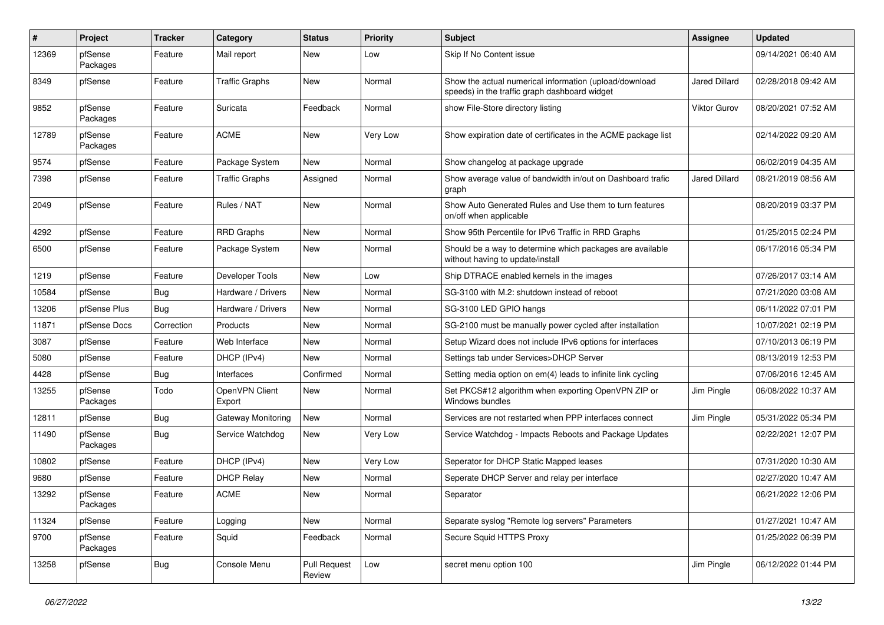| $\pmb{\#}$ | Project             | <b>Tracker</b> | Category                 | <b>Status</b>                 | <b>Priority</b> | <b>Subject</b>                                                                                          | <b>Assignee</b> | <b>Updated</b>      |
|------------|---------------------|----------------|--------------------------|-------------------------------|-----------------|---------------------------------------------------------------------------------------------------------|-----------------|---------------------|
| 12369      | pfSense<br>Packages | Feature        | Mail report              | New                           | Low             | Skip If No Content issue                                                                                |                 | 09/14/2021 06:40 AM |
| 8349       | pfSense             | Feature        | <b>Traffic Graphs</b>    | New                           | Normal          | Show the actual numerical information (upload/download<br>speeds) in the traffic graph dashboard widget | Jared Dillard   | 02/28/2018 09:42 AM |
| 9852       | pfSense<br>Packages | Feature        | Suricata                 | Feedback                      | Normal          | show File-Store directory listing                                                                       | Viktor Gurov    | 08/20/2021 07:52 AM |
| 12789      | pfSense<br>Packages | Feature        | <b>ACME</b>              | New                           | Very Low        | Show expiration date of certificates in the ACME package list                                           |                 | 02/14/2022 09:20 AM |
| 9574       | pfSense             | Feature        | Package System           | New                           | Normal          | Show changelog at package upgrade                                                                       |                 | 06/02/2019 04:35 AM |
| 7398       | pfSense             | Feature        | <b>Traffic Graphs</b>    | Assigned                      | Normal          | Show average value of bandwidth in/out on Dashboard trafic<br>graph                                     | Jared Dillard   | 08/21/2019 08:56 AM |
| 2049       | pfSense             | Feature        | Rules / NAT              | New                           | Normal          | Show Auto Generated Rules and Use them to turn features<br>on/off when applicable                       |                 | 08/20/2019 03:37 PM |
| 4292       | pfSense             | Feature        | <b>RRD Graphs</b>        | <b>New</b>                    | Normal          | Show 95th Percentile for IPv6 Traffic in RRD Graphs                                                     |                 | 01/25/2015 02:24 PM |
| 6500       | pfSense             | Feature        | Package System           | New                           | Normal          | Should be a way to determine which packages are available<br>without having to update/install           |                 | 06/17/2016 05:34 PM |
| 1219       | pfSense             | Feature        | Developer Tools          | New                           | Low             | Ship DTRACE enabled kernels in the images                                                               |                 | 07/26/2017 03:14 AM |
| 10584      | pfSense             | <b>Bug</b>     | Hardware / Drivers       | <b>New</b>                    | Normal          | SG-3100 with M.2: shutdown instead of reboot                                                            |                 | 07/21/2020 03:08 AM |
| 13206      | pfSense Plus        | Bug            | Hardware / Drivers       | New                           | Normal          | SG-3100 LED GPIO hangs                                                                                  |                 | 06/11/2022 07:01 PM |
| 11871      | pfSense Docs        | Correction     | Products                 | New                           | Normal          | SG-2100 must be manually power cycled after installation                                                |                 | 10/07/2021 02:19 PM |
| 3087       | pfSense             | Feature        | Web Interface            | <b>New</b>                    | Normal          | Setup Wizard does not include IPv6 options for interfaces                                               |                 | 07/10/2013 06:19 PM |
| 5080       | pfSense             | Feature        | DHCP (IPv4)              | <b>New</b>                    | Normal          | Settings tab under Services>DHCP Server                                                                 |                 | 08/13/2019 12:53 PM |
| 4428       | pfSense             | <b>Bug</b>     | Interfaces               | Confirmed                     | Normal          | Setting media option on em(4) leads to infinite link cycling                                            |                 | 07/06/2016 12:45 AM |
| 13255      | pfSense<br>Packages | Todo           | OpenVPN Client<br>Export | New                           | Normal          | Set PKCS#12 algorithm when exporting OpenVPN ZIP or<br>Windows bundles                                  | Jim Pingle      | 06/08/2022 10:37 AM |
| 12811      | pfSense             | <b>Bug</b>     | Gateway Monitoring       | <b>New</b>                    | Normal          | Services are not restarted when PPP interfaces connect                                                  | Jim Pingle      | 05/31/2022 05:34 PM |
| 11490      | pfSense<br>Packages | <b>Bug</b>     | Service Watchdog         | New                           | Very Low        | Service Watchdog - Impacts Reboots and Package Updates                                                  |                 | 02/22/2021 12:07 PM |
| 10802      | pfSense             | Feature        | DHCP (IPv4)              | <b>New</b>                    | Very Low        | Seperator for DHCP Static Mapped leases                                                                 |                 | 07/31/2020 10:30 AM |
| 9680       | pfSense             | Feature        | <b>DHCP Relay</b>        | New                           | Normal          | Seperate DHCP Server and relay per interface                                                            |                 | 02/27/2020 10:47 AM |
| 13292      | pfSense<br>Packages | Feature        | <b>ACME</b>              | New                           | Normal          | Separator                                                                                               |                 | 06/21/2022 12:06 PM |
| 11324      | pfSense             | Feature        | Logging                  | New                           | Normal          | Separate syslog "Remote log servers" Parameters                                                         |                 | 01/27/2021 10:47 AM |
| 9700       | pfSense<br>Packages | Feature        | Squid                    | Feedback                      | Normal          | Secure Squid HTTPS Proxy                                                                                |                 | 01/25/2022 06:39 PM |
| 13258      | pfSense             | <b>Bug</b>     | Console Menu             | <b>Pull Request</b><br>Review | Low             | secret menu option 100                                                                                  | Jim Pingle      | 06/12/2022 01:44 PM |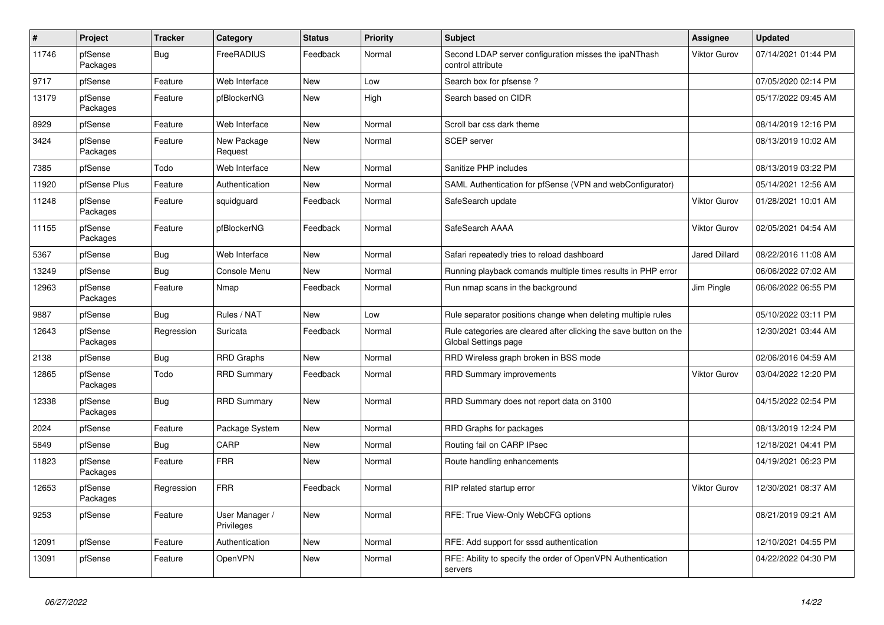| $\#$  | Project             | <b>Tracker</b> | Category                     | <b>Status</b> | Priority | <b>Subject</b>                                                                            | Assignee             | <b>Updated</b>      |
|-------|---------------------|----------------|------------------------------|---------------|----------|-------------------------------------------------------------------------------------------|----------------------|---------------------|
| 11746 | pfSense<br>Packages | Bug            | FreeRADIUS                   | Feedback      | Normal   | Second LDAP server configuration misses the ipaNThash<br>control attribute                | <b>Viktor Gurov</b>  | 07/14/2021 01:44 PM |
| 9717  | pfSense             | Feature        | Web Interface                | New           | Low      | Search box for pfsense?                                                                   |                      | 07/05/2020 02:14 PM |
| 13179 | pfSense<br>Packages | Feature        | pfBlockerNG                  | New           | High     | Search based on CIDR                                                                      |                      | 05/17/2022 09:45 AM |
| 8929  | pfSense             | Feature        | Web Interface                | New           | Normal   | Scroll bar css dark theme                                                                 |                      | 08/14/2019 12:16 PM |
| 3424  | pfSense<br>Packages | Feature        | New Package<br>Request       | New           | Normal   | <b>SCEP</b> server                                                                        |                      | 08/13/2019 10:02 AM |
| 7385  | pfSense             | Todo           | Web Interface                | <b>New</b>    | Normal   | Sanitize PHP includes                                                                     |                      | 08/13/2019 03:22 PM |
| 11920 | pfSense Plus        | Feature        | Authentication               | <b>New</b>    | Normal   | SAML Authentication for pfSense (VPN and webConfigurator)                                 |                      | 05/14/2021 12:56 AM |
| 11248 | pfSense<br>Packages | Feature        | squidguard                   | Feedback      | Normal   | SafeSearch update                                                                         | <b>Viktor Gurov</b>  | 01/28/2021 10:01 AM |
| 11155 | pfSense<br>Packages | Feature        | pfBlockerNG                  | Feedback      | Normal   | SafeSearch AAAA                                                                           | <b>Viktor Gurov</b>  | 02/05/2021 04:54 AM |
| 5367  | pfSense             | <b>Bug</b>     | Web Interface                | New           | Normal   | Safari repeatedly tries to reload dashboard                                               | <b>Jared Dillard</b> | 08/22/2016 11:08 AM |
| 13249 | pfSense             | Bug            | Console Menu                 | New           | Normal   | Running playback comands multiple times results in PHP error                              |                      | 06/06/2022 07:02 AM |
| 12963 | pfSense<br>Packages | Feature        | Nmap                         | Feedback      | Normal   | Run nmap scans in the background                                                          | Jim Pingle           | 06/06/2022 06:55 PM |
| 9887  | pfSense             | Bug            | Rules / NAT                  | New           | Low      | Rule separator positions change when deleting multiple rules                              |                      | 05/10/2022 03:11 PM |
| 12643 | pfSense<br>Packages | Regression     | Suricata                     | Feedback      | Normal   | Rule categories are cleared after clicking the save button on the<br>Global Settings page |                      | 12/30/2021 03:44 AM |
| 2138  | pfSense             | <b>Bug</b>     | <b>RRD Graphs</b>            | New           | Normal   | RRD Wireless graph broken in BSS mode                                                     |                      | 02/06/2016 04:59 AM |
| 12865 | pfSense<br>Packages | Todo           | <b>RRD Summary</b>           | Feedback      | Normal   | <b>RRD Summary improvements</b>                                                           | <b>Viktor Gurov</b>  | 03/04/2022 12:20 PM |
| 12338 | pfSense<br>Packages | Bug            | <b>RRD Summary</b>           | New           | Normal   | RRD Summary does not report data on 3100                                                  |                      | 04/15/2022 02:54 PM |
| 2024  | pfSense             | Feature        | Package System               | <b>New</b>    | Normal   | RRD Graphs for packages                                                                   |                      | 08/13/2019 12:24 PM |
| 5849  | pfSense             | <b>Bug</b>     | CARP                         | New           | Normal   | Routing fail on CARP IPsec                                                                |                      | 12/18/2021 04:41 PM |
| 11823 | pfSense<br>Packages | Feature        | <b>FRR</b>                   | New           | Normal   | Route handling enhancements                                                               |                      | 04/19/2021 06:23 PM |
| 12653 | pfSense<br>Packages | Regression     | <b>FRR</b>                   | Feedback      | Normal   | RIP related startup error                                                                 | <b>Viktor Gurov</b>  | 12/30/2021 08:37 AM |
| 9253  | pfSense             | Feature        | User Manager /<br>Privileges | New           | Normal   | RFE: True View-Only WebCFG options                                                        |                      | 08/21/2019 09:21 AM |
| 12091 | pfSense             | Feature        | Authentication               | New           | Normal   | RFE: Add support for sssd authentication                                                  |                      | 12/10/2021 04:55 PM |
| 13091 | pfSense             | Feature        | <b>OpenVPN</b>               | New           | Normal   | RFE: Ability to specify the order of OpenVPN Authentication<br>servers                    |                      | 04/22/2022 04:30 PM |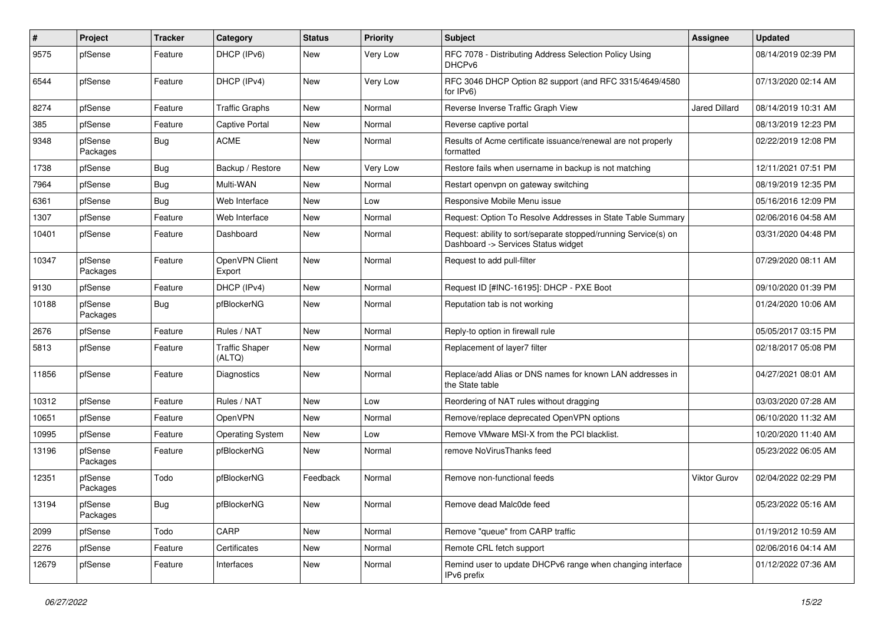| $\sharp$ | Project             | <b>Tracker</b> | Category                        | <b>Status</b> | <b>Priority</b> | Subject                                                                                                | <b>Assignee</b>      | <b>Updated</b>      |
|----------|---------------------|----------------|---------------------------------|---------------|-----------------|--------------------------------------------------------------------------------------------------------|----------------------|---------------------|
| 9575     | pfSense             | Feature        | DHCP (IPv6)                     | New           | Very Low        | RFC 7078 - Distributing Address Selection Policy Using<br>DHCP <sub>v6</sub>                           |                      | 08/14/2019 02:39 PM |
| 6544     | pfSense             | Feature        | DHCP (IPv4)                     | New           | Very Low        | RFC 3046 DHCP Option 82 support (and RFC 3315/4649/4580<br>for IPv6)                                   |                      | 07/13/2020 02:14 AM |
| 8274     | pfSense             | Feature        | <b>Traffic Graphs</b>           | <b>New</b>    | Normal          | Reverse Inverse Traffic Graph View                                                                     | <b>Jared Dillard</b> | 08/14/2019 10:31 AM |
| 385      | pfSense             | Feature        | Captive Portal                  | New           | Normal          | Reverse captive portal                                                                                 |                      | 08/13/2019 12:23 PM |
| 9348     | pfSense<br>Packages | Bug            | <b>ACME</b>                     | <b>New</b>    | Normal          | Results of Acme certificate issuance/renewal are not properly<br>formatted                             |                      | 02/22/2019 12:08 PM |
| 1738     | pfSense             | <b>Bug</b>     | Backup / Restore                | <b>New</b>    | Very Low        | Restore fails when username in backup is not matching                                                  |                      | 12/11/2021 07:51 PM |
| 7964     | pfSense             | <b>Bug</b>     | Multi-WAN                       | <b>New</b>    | Normal          | Restart openvpn on gateway switching                                                                   |                      | 08/19/2019 12:35 PM |
| 6361     | pfSense             | <b>Bug</b>     | Web Interface                   | New           | Low             | Responsive Mobile Menu issue                                                                           |                      | 05/16/2016 12:09 PM |
| 1307     | pfSense             | Feature        | Web Interface                   | New           | Normal          | Request: Option To Resolve Addresses in State Table Summary                                            |                      | 02/06/2016 04:58 AM |
| 10401    | pfSense             | Feature        | Dashboard                       | New           | Normal          | Request: ability to sort/separate stopped/running Service(s) on<br>Dashboard -> Services Status widget |                      | 03/31/2020 04:48 PM |
| 10347    | pfSense<br>Packages | Feature        | OpenVPN Client<br>Export        | New           | Normal          | Request to add pull-filter                                                                             |                      | 07/29/2020 08:11 AM |
| 9130     | pfSense             | Feature        | DHCP (IPv4)                     | <b>New</b>    | Normal          | Request ID [#INC-16195]: DHCP - PXE Boot                                                               |                      | 09/10/2020 01:39 PM |
| 10188    | pfSense<br>Packages | Bug            | pfBlockerNG                     | New           | Normal          | Reputation tab is not working                                                                          |                      | 01/24/2020 10:06 AM |
| 2676     | pfSense             | Feature        | Rules / NAT                     | <b>New</b>    | Normal          | Reply-to option in firewall rule                                                                       |                      | 05/05/2017 03:15 PM |
| 5813     | pfSense             | Feature        | <b>Traffic Shaper</b><br>(ALTQ) | <b>New</b>    | Normal          | Replacement of layer7 filter                                                                           |                      | 02/18/2017 05:08 PM |
| 11856    | pfSense             | Feature        | Diagnostics                     | New           | Normal          | Replace/add Alias or DNS names for known LAN addresses in<br>the State table                           |                      | 04/27/2021 08:01 AM |
| 10312    | pfSense             | Feature        | Rules / NAT                     | New           | Low             | Reordering of NAT rules without dragging                                                               |                      | 03/03/2020 07:28 AM |
| 10651    | pfSense             | Feature        | OpenVPN                         | <b>New</b>    | Normal          | Remove/replace deprecated OpenVPN options                                                              |                      | 06/10/2020 11:32 AM |
| 10995    | pfSense             | Feature        | <b>Operating System</b>         | New           | Low             | Remove VMware MSI-X from the PCI blacklist.                                                            |                      | 10/20/2020 11:40 AM |
| 13196    | pfSense<br>Packages | Feature        | pfBlockerNG                     | New           | Normal          | remove NoVirusThanks feed                                                                              |                      | 05/23/2022 06:05 AM |
| 12351    | pfSense<br>Packages | Todo           | pfBlockerNG                     | Feedback      | Normal          | Remove non-functional feeds                                                                            | Viktor Gurov         | 02/04/2022 02:29 PM |
| 13194    | pfSense<br>Packages | Bug            | pfBlockerNG                     | New           | Normal          | Remove dead Malc0de feed                                                                               |                      | 05/23/2022 05:16 AM |
| 2099     | pfSense             | Todo           | CARP                            | New           | Normal          | Remove "queue" from CARP traffic                                                                       |                      | 01/19/2012 10:59 AM |
| 2276     | pfSense             | Feature        | Certificates                    | New           | Normal          | Remote CRL fetch support                                                                               |                      | 02/06/2016 04:14 AM |
| 12679    | pfSense             | Feature        | Interfaces                      | New           | Normal          | Remind user to update DHCPv6 range when changing interface<br>IPv6 prefix                              |                      | 01/12/2022 07:36 AM |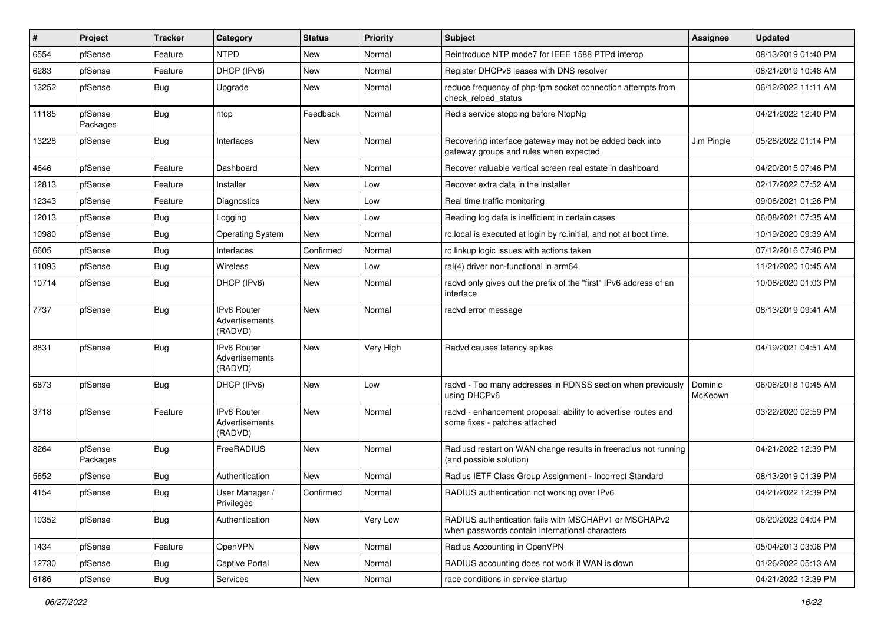| $\vert$ # | Project             | <b>Tracker</b> | Category                                        | <b>Status</b> | Priority  | Subject                                                                                                  | <b>Assignee</b>    | <b>Updated</b>      |
|-----------|---------------------|----------------|-------------------------------------------------|---------------|-----------|----------------------------------------------------------------------------------------------------------|--------------------|---------------------|
| 6554      | pfSense             | Feature        | <b>NTPD</b>                                     | New           | Normal    | Reintroduce NTP mode7 for IEEE 1588 PTPd interop                                                         |                    | 08/13/2019 01:40 PM |
| 6283      | pfSense             | Feature        | DHCP (IPv6)                                     | <b>New</b>    | Normal    | Register DHCPv6 leases with DNS resolver                                                                 |                    | 08/21/2019 10:48 AM |
| 13252     | pfSense             | Bug            | Upgrade                                         | New           | Normal    | reduce frequency of php-fpm socket connection attempts from<br>check reload status                       |                    | 06/12/2022 11:11 AM |
| 11185     | pfSense<br>Packages | Bug            | ntop                                            | Feedback      | Normal    | Redis service stopping before NtopNg                                                                     |                    | 04/21/2022 12:40 PM |
| 13228     | pfSense             | Bug            | Interfaces                                      | New           | Normal    | Recovering interface gateway may not be added back into<br>gateway groups and rules when expected        | Jim Pingle         | 05/28/2022 01:14 PM |
| 4646      | pfSense             | Feature        | Dashboard                                       | New           | Normal    | Recover valuable vertical screen real estate in dashboard                                                |                    | 04/20/2015 07:46 PM |
| 12813     | pfSense             | Feature        | Installer                                       | <b>New</b>    | Low       | Recover extra data in the installer                                                                      |                    | 02/17/2022 07:52 AM |
| 12343     | pfSense             | Feature        | Diagnostics                                     | New           | Low       | Real time traffic monitoring                                                                             |                    | 09/06/2021 01:26 PM |
| 12013     | pfSense             | <b>Bug</b>     | Logging                                         | New           | Low       | Reading log data is inefficient in certain cases                                                         |                    | 06/08/2021 07:35 AM |
| 10980     | pfSense             | Bug            | <b>Operating System</b>                         | <b>New</b>    | Normal    | rc.local is executed at login by rc.initial, and not at boot time.                                       |                    | 10/19/2020 09:39 AM |
| 6605      | pfSense             | Bug            | Interfaces                                      | Confirmed     | Normal    | rc.linkup logic issues with actions taken                                                                |                    | 07/12/2016 07:46 PM |
| 11093     | pfSense             | Bug            | <b>Wireless</b>                                 | New           | Low       | ral(4) driver non-functional in arm64                                                                    |                    | 11/21/2020 10:45 AM |
| 10714     | pfSense             | Bug            | DHCP (IPv6)                                     | New           | Normal    | radvd only gives out the prefix of the "first" IPv6 address of an<br>interface                           |                    | 10/06/2020 01:03 PM |
| 7737      | pfSense             | Bug            | <b>IPv6 Router</b><br>Advertisements<br>(RADVD) | <b>New</b>    | Normal    | radvd error message                                                                                      |                    | 08/13/2019 09:41 AM |
| 8831      | pfSense             | Bug            | <b>IPv6 Router</b><br>Advertisements<br>(RADVD) | New           | Very High | Radvd causes latency spikes                                                                              |                    | 04/19/2021 04:51 AM |
| 6873      | pfSense             | Bug            | DHCP (IPv6)                                     | New           | Low       | radvd - Too many addresses in RDNSS section when previously<br>using DHCPv6                              | Dominic<br>McKeown | 06/06/2018 10:45 AM |
| 3718      | pfSense             | Feature        | IPv6 Router<br>Advertisements<br>(RADVD)        | New           | Normal    | radvd - enhancement proposal: ability to advertise routes and<br>some fixes - patches attached           |                    | 03/22/2020 02:59 PM |
| 8264      | pfSense<br>Packages | Bug            | FreeRADIUS                                      | New           | Normal    | Radiusd restart on WAN change results in freeradius not running<br>(and possible solution)               |                    | 04/21/2022 12:39 PM |
| 5652      | pfSense             | Bug            | Authentication                                  | <b>New</b>    | Normal    | Radius IETF Class Group Assignment - Incorrect Standard                                                  |                    | 08/13/2019 01:39 PM |
| 4154      | pfSense             | Bug            | User Manager /<br>Privileges                    | Confirmed     | Normal    | RADIUS authentication not working over IPv6                                                              |                    | 04/21/2022 12:39 PM |
| 10352     | pfSense             | <b>Bug</b>     | Authentication                                  | New           | Very Low  | RADIUS authentication fails with MSCHAPv1 or MSCHAPv2<br>when passwords contain international characters |                    | 06/20/2022 04:04 PM |
| 1434      | pfSense             | Feature        | OpenVPN                                         | New           | Normal    | Radius Accounting in OpenVPN                                                                             |                    | 05/04/2013 03:06 PM |
| 12730     | pfSense             | Bug            | Captive Portal                                  | New           | Normal    | RADIUS accounting does not work if WAN is down                                                           |                    | 01/26/2022 05:13 AM |
| 6186      | pfSense             | Bug            | Services                                        | New           | Normal    | race conditions in service startup                                                                       |                    | 04/21/2022 12:39 PM |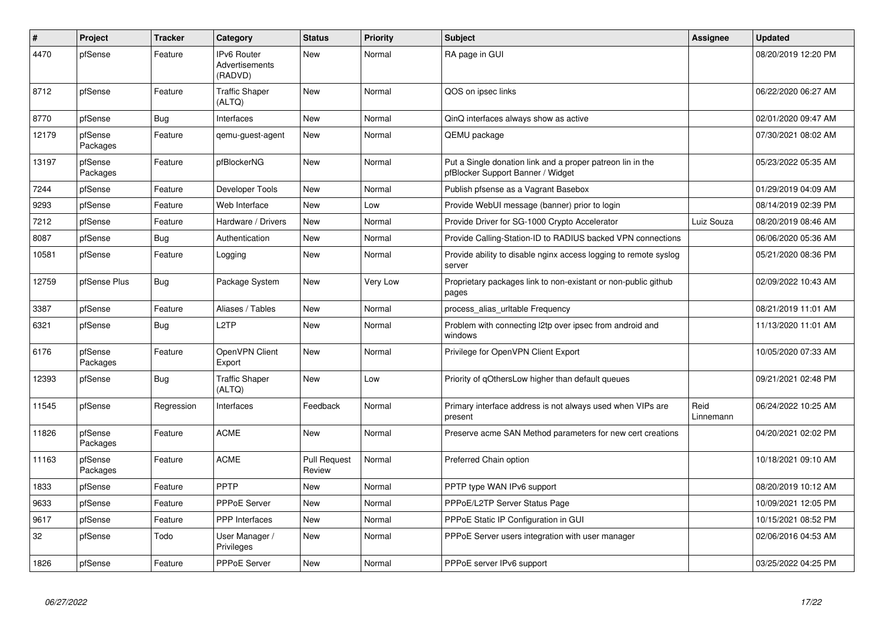| $\pmb{\#}$ | Project             | <b>Tracker</b> | Category                                 | <b>Status</b>                 | <b>Priority</b> | <b>Subject</b>                                                                                  | Assignee          | <b>Updated</b>      |
|------------|---------------------|----------------|------------------------------------------|-------------------------------|-----------------|-------------------------------------------------------------------------------------------------|-------------------|---------------------|
| 4470       | pfSense             | Feature        | IPv6 Router<br>Advertisements<br>(RADVD) | <b>New</b>                    | Normal          | RA page in GUI                                                                                  |                   | 08/20/2019 12:20 PM |
| 8712       | pfSense             | Feature        | <b>Traffic Shaper</b><br>(ALTQ)          | <b>New</b>                    | Normal          | QOS on ipsec links                                                                              |                   | 06/22/2020 06:27 AM |
| 8770       | pfSense             | <b>Bug</b>     | Interfaces                               | <b>New</b>                    | Normal          | QinQ interfaces always show as active                                                           |                   | 02/01/2020 09:47 AM |
| 12179      | pfSense<br>Packages | Feature        | gemu-guest-agent                         | <b>New</b>                    | Normal          | QEMU package                                                                                    |                   | 07/30/2021 08:02 AM |
| 13197      | pfSense<br>Packages | Feature        | pfBlockerNG                              | <b>New</b>                    | Normal          | Put a Single donation link and a proper patreon lin in the<br>pfBlocker Support Banner / Widget |                   | 05/23/2022 05:35 AM |
| 7244       | pfSense             | Feature        | Developer Tools                          | <b>New</b>                    | Normal          | Publish pfsense as a Vagrant Basebox                                                            |                   | 01/29/2019 04:09 AM |
| 9293       | pfSense             | Feature        | Web Interface                            | <b>New</b>                    | Low             | Provide WebUI message (banner) prior to login                                                   |                   | 08/14/2019 02:39 PM |
| 7212       | pfSense             | Feature        | Hardware / Drivers                       | <b>New</b>                    | Normal          | Provide Driver for SG-1000 Crypto Accelerator                                                   | Luiz Souza        | 08/20/2019 08:46 AM |
| 8087       | pfSense             | <b>Bug</b>     | Authentication                           | New                           | Normal          | Provide Calling-Station-ID to RADIUS backed VPN connections                                     |                   | 06/06/2020 05:36 AM |
| 10581      | pfSense             | Feature        | Logging                                  | New                           | Normal          | Provide ability to disable nginx access logging to remote syslog<br>server                      |                   | 05/21/2020 08:36 PM |
| 12759      | pfSense Plus        | Bug            | Package System                           | New                           | Very Low        | Proprietary packages link to non-existant or non-public github<br>pages                         |                   | 02/09/2022 10:43 AM |
| 3387       | pfSense             | Feature        | Aliases / Tables                         | New                           | Normal          | process_alias_urItable Frequency                                                                |                   | 08/21/2019 11:01 AM |
| 6321       | pfSense             | Bug            | L <sub>2</sub> TP                        | <b>New</b>                    | Normal          | Problem with connecting I2tp over ipsec from android and<br>windows                             |                   | 11/13/2020 11:01 AM |
| 6176       | pfSense<br>Packages | Feature        | OpenVPN Client<br>Export                 | <b>New</b>                    | Normal          | Privilege for OpenVPN Client Export                                                             |                   | 10/05/2020 07:33 AM |
| 12393      | pfSense             | <b>Bug</b>     | <b>Traffic Shaper</b><br>(ALTQ)          | <b>New</b>                    | Low             | Priority of gOthersLow higher than default queues                                               |                   | 09/21/2021 02:48 PM |
| 11545      | pfSense             | Regression     | Interfaces                               | Feedback                      | Normal          | Primary interface address is not always used when VIPs are<br>present                           | Reid<br>Linnemann | 06/24/2022 10:25 AM |
| 11826      | pfSense<br>Packages | Feature        | <b>ACME</b>                              | New                           | Normal          | Preserve acme SAN Method parameters for new cert creations                                      |                   | 04/20/2021 02:02 PM |
| 11163      | pfSense<br>Packages | Feature        | <b>ACME</b>                              | <b>Pull Request</b><br>Review | Normal          | Preferred Chain option                                                                          |                   | 10/18/2021 09:10 AM |
| 1833       | pfSense             | Feature        | PPTP                                     | New                           | Normal          | PPTP type WAN IPv6 support                                                                      |                   | 08/20/2019 10:12 AM |
| 9633       | pfSense             | Feature        | PPPoE Server                             | New                           | Normal          | PPPoE/L2TP Server Status Page                                                                   |                   | 10/09/2021 12:05 PM |
| 9617       | pfSense             | Feature        | <b>PPP</b> Interfaces                    | New                           | Normal          | PPPoE Static IP Configuration in GUI                                                            |                   | 10/15/2021 08:52 PM |
| 32         | pfSense             | Todo           | User Manager /<br>Privileges             | New                           | Normal          | PPPoE Server users integration with user manager                                                |                   | 02/06/2016 04:53 AM |
| 1826       | pfSense             | Feature        | PPPoE Server                             | New                           | Normal          | PPPoE server IPv6 support                                                                       |                   | 03/25/2022 04:25 PM |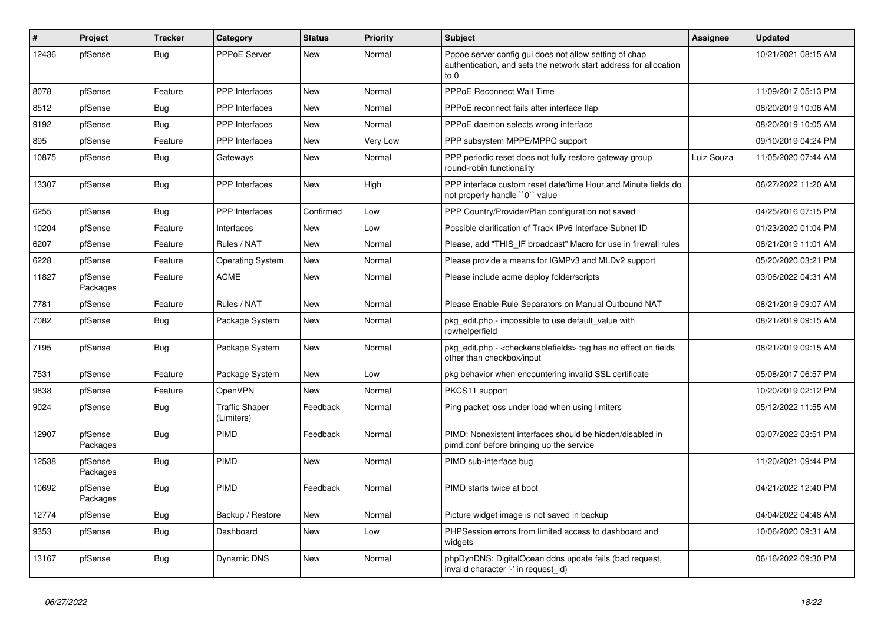| $\sharp$ | Project             | <b>Tracker</b> | Category                            | <b>Status</b> | Priority | <b>Subject</b>                                                                                                                      | <b>Assignee</b> | <b>Updated</b>      |
|----------|---------------------|----------------|-------------------------------------|---------------|----------|-------------------------------------------------------------------------------------------------------------------------------------|-----------------|---------------------|
| 12436    | pfSense             | Bug            | PPPoE Server                        | <b>New</b>    | Normal   | Pppoe server config gui does not allow setting of chap<br>authentication, and sets the network start address for allocation<br>to 0 |                 | 10/21/2021 08:15 AM |
| 8078     | pfSense             | Feature        | PPP Interfaces                      | New           | Normal   | <b>PPPoE Reconnect Wait Time</b>                                                                                                    |                 | 11/09/2017 05:13 PM |
| 8512     | pfSense             | Bug            | PPP Interfaces                      | <b>New</b>    | Normal   | PPPoE reconnect fails after interface flap                                                                                          |                 | 08/20/2019 10:06 AM |
| 9192     | pfSense             | Bug            | PPP Interfaces                      | <b>New</b>    | Normal   | PPPoE daemon selects wrong interface                                                                                                |                 | 08/20/2019 10:05 AM |
| 895      | pfSense             | Feature        | PPP Interfaces                      | <b>New</b>    | Very Low | PPP subsystem MPPE/MPPC support                                                                                                     |                 | 09/10/2019 04:24 PM |
| 10875    | pfSense             | Bug            | Gateways                            | <b>New</b>    | Normal   | PPP periodic reset does not fully restore gateway group<br>round-robin functionality                                                | Luiz Souza      | 11/05/2020 07:44 AM |
| 13307    | pfSense             | Bug            | <b>PPP</b> Interfaces               | <b>New</b>    | High     | PPP interface custom reset date/time Hour and Minute fields do<br>not properly handle "0" value                                     |                 | 06/27/2022 11:20 AM |
| 6255     | pfSense             | Bug            | <b>PPP</b> Interfaces               | Confirmed     | Low      | PPP Country/Provider/Plan configuration not saved                                                                                   |                 | 04/25/2016 07:15 PM |
| 10204    | pfSense             | Feature        | <b>Interfaces</b>                   | New           | Low      | Possible clarification of Track IPv6 Interface Subnet ID                                                                            |                 | 01/23/2020 01:04 PM |
| 6207     | pfSense             | Feature        | Rules / NAT                         | <b>New</b>    | Normal   | Please, add "THIS IF broadcast" Macro for use in firewall rules                                                                     |                 | 08/21/2019 11:01 AM |
| 6228     | pfSense             | Feature        | <b>Operating System</b>             | New           | Normal   | Please provide a means for IGMPv3 and MLDv2 support                                                                                 |                 | 05/20/2020 03:21 PM |
| 11827    | pfSense<br>Packages | Feature        | <b>ACME</b>                         | New           | Normal   | Please include acme deploy folder/scripts                                                                                           |                 | 03/06/2022 04:31 AM |
| 7781     | pfSense             | Feature        | Rules / NAT                         | <b>New</b>    | Normal   | Please Enable Rule Separators on Manual Outbound NAT                                                                                |                 | 08/21/2019 09:07 AM |
| 7082     | pfSense             | Bug            | Package System                      | <b>New</b>    | Normal   | pkg_edit.php - impossible to use default_value with<br>rowhelperfield                                                               |                 | 08/21/2019 09:15 AM |
| 7195     | pfSense             | Bug            | Package System                      | <b>New</b>    | Normal   | pkg_edit.php - < checkenablefields > tag has no effect on fields<br>other than checkbox/input                                       |                 | 08/21/2019 09:15 AM |
| 7531     | pfSense             | Feature        | Package System                      | <b>New</b>    | Low      | pkg behavior when encountering invalid SSL certificate                                                                              |                 | 05/08/2017 06:57 PM |
| 9838     | pfSense             | Feature        | OpenVPN                             | <b>New</b>    | Normal   | PKCS11 support                                                                                                                      |                 | 10/20/2019 02:12 PM |
| 9024     | pfSense             | <b>Bug</b>     | <b>Traffic Shaper</b><br>(Limiters) | Feedback      | Normal   | Ping packet loss under load when using limiters                                                                                     |                 | 05/12/2022 11:55 AM |
| 12907    | pfSense<br>Packages | <b>Bug</b>     | <b>PIMD</b>                         | Feedback      | Normal   | PIMD: Nonexistent interfaces should be hidden/disabled in<br>pimd.conf before bringing up the service                               |                 | 03/07/2022 03:51 PM |
| 12538    | pfSense<br>Packages | Bug            | PIMD                                | <b>New</b>    | Normal   | PIMD sub-interface bug                                                                                                              |                 | 11/20/2021 09:44 PM |
| 10692    | pfSense<br>Packages | Bug            | PIMD                                | Feedback      | Normal   | PIMD starts twice at boot                                                                                                           |                 | 04/21/2022 12:40 PM |
| 12774    | pfSense             | Bug            | Backup / Restore                    | New           | Normal   | Picture widget image is not saved in backup                                                                                         |                 | 04/04/2022 04:48 AM |
| 9353     | pfSense             | Bug            | Dashboard                           | New           | Low      | PHPSession errors from limited access to dashboard and<br>widgets                                                                   |                 | 10/06/2020 09:31 AM |
| 13167    | pfSense             | Bug            | <b>Dynamic DNS</b>                  | <b>New</b>    | Normal   | phpDynDNS: DigitalOcean ddns update fails (bad request,<br>invalid character '-' in request id)                                     |                 | 06/16/2022 09:30 PM |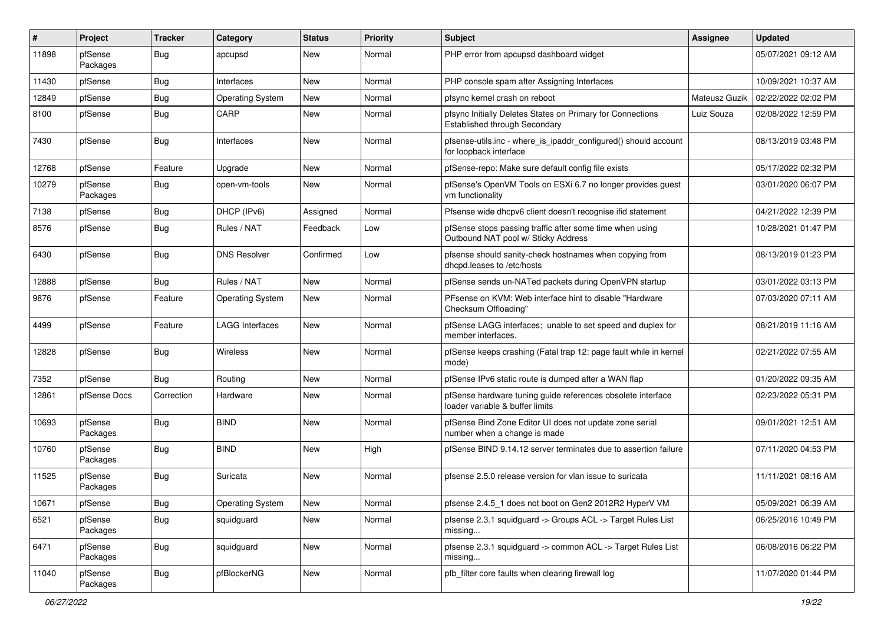| ∦     | Project             | <b>Tracker</b> | Category                | <b>Status</b> | <b>Priority</b> | Subject                                                                                         | <b>Assignee</b> | <b>Updated</b>      |
|-------|---------------------|----------------|-------------------------|---------------|-----------------|-------------------------------------------------------------------------------------------------|-----------------|---------------------|
| 11898 | pfSense<br>Packages | Bug            | apcupsd                 | New           | Normal          | PHP error from apcupsd dashboard widget                                                         |                 | 05/07/2021 09:12 AM |
| 11430 | pfSense             | Bug            | <b>Interfaces</b>       | <b>New</b>    | Normal          | PHP console spam after Assigning Interfaces                                                     |                 | 10/09/2021 10:37 AM |
| 12849 | pfSense             | Bug            | <b>Operating System</b> | New           | Normal          | pfsync kernel crash on reboot                                                                   | Mateusz Guzik   | 02/22/2022 02:02 PM |
| 8100  | pfSense             | <b>Bug</b>     | CARP                    | <b>New</b>    | Normal          | pfsync Initially Deletes States on Primary for Connections<br>Established through Secondary     | Luiz Souza      | 02/08/2022 12:59 PM |
| 7430  | pfSense             | Bug            | Interfaces              | New           | Normal          | pfsense-utils.inc - where_is_ipaddr_configured() should account<br>for loopback interface       |                 | 08/13/2019 03:48 PM |
| 12768 | pfSense             | Feature        | Upgrade                 | New           | Normal          | pfSense-repo: Make sure default config file exists                                              |                 | 05/17/2022 02:32 PM |
| 10279 | pfSense<br>Packages | <b>Bug</b>     | open-vm-tools           | <b>New</b>    | Normal          | pfSense's OpenVM Tools on ESXi 6.7 no longer provides guest<br>vm functionality                 |                 | 03/01/2020 06:07 PM |
| 7138  | pfSense             | Bug            | DHCP (IPv6)             | Assigned      | Normal          | Pfsense wide dhcpv6 client doesn't recognise ifid statement                                     |                 | 04/21/2022 12:39 PM |
| 8576  | pfSense             | <b>Bug</b>     | Rules / NAT             | Feedback      | Low             | pfSense stops passing traffic after some time when using<br>Outbound NAT pool w/ Sticky Address |                 | 10/28/2021 01:47 PM |
| 6430  | pfSense             | Bug            | <b>DNS Resolver</b>     | Confirmed     | Low             | pfsense should sanity-check hostnames when copying from<br>dhcpd.leases to /etc/hosts           |                 | 08/13/2019 01:23 PM |
| 12888 | pfSense             | Bug            | Rules / NAT             | New           | Normal          | pfSense sends un-NATed packets during OpenVPN startup                                           |                 | 03/01/2022 03:13 PM |
| 9876  | pfSense             | Feature        | <b>Operating System</b> | New           | Normal          | PFsense on KVM: Web interface hint to disable "Hardware"<br>Checksum Offloading"                |                 | 07/03/2020 07:11 AM |
| 4499  | pfSense             | Feature        | <b>LAGG Interfaces</b>  | <b>New</b>    | Normal          | pfSense LAGG interfaces; unable to set speed and duplex for<br>member interfaces.               |                 | 08/21/2019 11:16 AM |
| 12828 | pfSense             | Bug            | Wireless                | New           | Normal          | pfSense keeps crashing (Fatal trap 12: page fault while in kernel<br>mode)                      |                 | 02/21/2022 07:55 AM |
| 7352  | pfSense             | <b>Bug</b>     | Routing                 | New           | Normal          | pfSense IPv6 static route is dumped after a WAN flap                                            |                 | 01/20/2022 09:35 AM |
| 12861 | pfSense Docs        | Correction     | Hardware                | New           | Normal          | pfSense hardware tuning guide references obsolete interface<br>loader variable & buffer limits  |                 | 02/23/2022 05:31 PM |
| 10693 | pfSense<br>Packages | <b>Bug</b>     | <b>BIND</b>             | <b>New</b>    | Normal          | pfSense Bind Zone Editor UI does not update zone serial<br>number when a change is made         |                 | 09/01/2021 12:51 AM |
| 10760 | pfSense<br>Packages | Bug            | <b>BIND</b>             | New           | High            | pfSense BIND 9.14.12 server terminates due to assertion failure                                 |                 | 07/11/2020 04:53 PM |
| 11525 | pfSense<br>Packages | Bug            | Suricata                | New           | Normal          | pfsense 2.5.0 release version for vlan issue to suricata                                        |                 | 11/11/2021 08:16 AM |
| 10671 | pfSense             | Bug            | <b>Operating System</b> | New           | Normal          | pfsense 2.4.5_1 does not boot on Gen2 2012R2 HyperV VM                                          |                 | 05/09/2021 06:39 AM |
| 6521  | pfSense<br>Packages | <b>Bug</b>     | squidguard              | New           | Normal          | pfsense 2.3.1 squidguard -> Groups ACL -> Target Rules List<br>missing                          |                 | 06/25/2016 10:49 PM |
| 6471  | pfSense<br>Packages | <b>Bug</b>     | squidguard              | New           | Normal          | pfsense 2.3.1 squidguard -> common ACL -> Target Rules List<br>missing                          |                 | 06/08/2016 06:22 PM |
| 11040 | pfSense<br>Packages | Bug            | pfBlockerNG             | New           | Normal          | pfb_filter core faults when clearing firewall log                                               |                 | 11/07/2020 01:44 PM |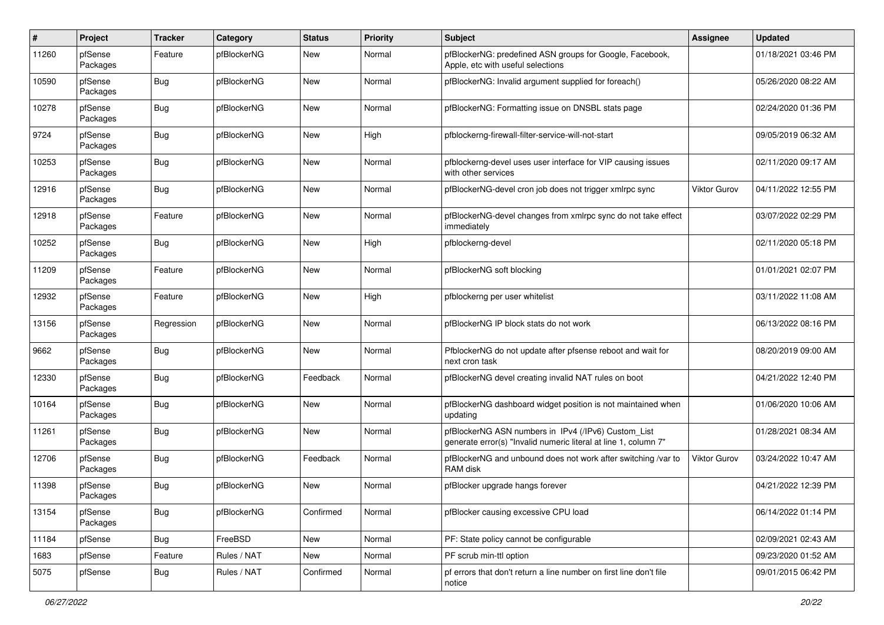| #     | Project             | <b>Tracker</b> | Category    | <b>Status</b> | <b>Priority</b> | Subject                                                                                                                | <b>Assignee</b>     | <b>Updated</b>      |
|-------|---------------------|----------------|-------------|---------------|-----------------|------------------------------------------------------------------------------------------------------------------------|---------------------|---------------------|
| 11260 | pfSense<br>Packages | Feature        | pfBlockerNG | New           | Normal          | pfBlockerNG: predefined ASN groups for Google, Facebook,<br>Apple, etc with useful selections                          |                     | 01/18/2021 03:46 PM |
| 10590 | pfSense<br>Packages | Bug            | pfBlockerNG | New           | Normal          | pfBlockerNG: Invalid argument supplied for foreach()                                                                   |                     | 05/26/2020 08:22 AM |
| 10278 | pfSense<br>Packages | Bug            | pfBlockerNG | <b>New</b>    | Normal          | pfBlockerNG: Formatting issue on DNSBL stats page                                                                      |                     | 02/24/2020 01:36 PM |
| 9724  | pfSense<br>Packages | Bug            | pfBlockerNG | New           | High            | pfblockerng-firewall-filter-service-will-not-start                                                                     |                     | 09/05/2019 06:32 AM |
| 10253 | pfSense<br>Packages | Bug            | pfBlockerNG | New           | Normal          | pfblockerng-devel uses user interface for VIP causing issues<br>with other services                                    |                     | 02/11/2020 09:17 AM |
| 12916 | pfSense<br>Packages | Bug            | pfBlockerNG | New           | Normal          | pfBlockerNG-devel cron job does not trigger xmlrpc sync                                                                | <b>Viktor Gurov</b> | 04/11/2022 12:55 PM |
| 12918 | pfSense<br>Packages | Feature        | pfBlockerNG | New           | Normal          | pfBlockerNG-devel changes from xmlrpc sync do not take effect<br>immediately                                           |                     | 03/07/2022 02:29 PM |
| 10252 | pfSense<br>Packages | Bug            | pfBlockerNG | New           | High            | pfblockerng-devel                                                                                                      |                     | 02/11/2020 05:18 PM |
| 11209 | pfSense<br>Packages | Feature        | pfBlockerNG | New           | Normal          | pfBlockerNG soft blocking                                                                                              |                     | 01/01/2021 02:07 PM |
| 12932 | pfSense<br>Packages | Feature        | pfBlockerNG | New           | High            | pfblockerng per user whitelist                                                                                         |                     | 03/11/2022 11:08 AM |
| 13156 | pfSense<br>Packages | Regression     | pfBlockerNG | New           | Normal          | pfBlockerNG IP block stats do not work                                                                                 |                     | 06/13/2022 08:16 PM |
| 9662  | pfSense<br>Packages | Bug            | pfBlockerNG | New           | Normal          | PfblockerNG do not update after pfsense reboot and wait for<br>next cron task                                          |                     | 08/20/2019 09:00 AM |
| 12330 | pfSense<br>Packages | Bug            | pfBlockerNG | Feedback      | Normal          | pfBlockerNG devel creating invalid NAT rules on boot                                                                   |                     | 04/21/2022 12:40 PM |
| 10164 | pfSense<br>Packages | Bug            | pfBlockerNG | <b>New</b>    | Normal          | pfBlockerNG dashboard widget position is not maintained when<br>updating                                               |                     | 01/06/2020 10:06 AM |
| 11261 | pfSense<br>Packages | Bug            | pfBlockerNG | New           | Normal          | pfBlockerNG ASN numbers in IPv4 (/IPv6) Custom_List<br>generate error(s) "Invalid numeric literal at line 1, column 7" |                     | 01/28/2021 08:34 AM |
| 12706 | pfSense<br>Packages | Bug            | pfBlockerNG | Feedback      | Normal          | pfBlockerNG and unbound does not work after switching /var to<br>RAM disk                                              | <b>Viktor Gurov</b> | 03/24/2022 10:47 AM |
| 11398 | pfSense<br>Packages | Bug            | pfBlockerNG | <b>New</b>    | Normal          | pfBlocker upgrade hangs forever                                                                                        |                     | 04/21/2022 12:39 PM |
| 13154 | pfSense<br>Packages | <b>Bug</b>     | pfBlockerNG | Confirmed     | Normal          | pfBlocker causing excessive CPU load                                                                                   |                     | 06/14/2022 01:14 PM |
| 11184 | pfSense             | Bug            | FreeBSD     | New           | Normal          | PF: State policy cannot be configurable                                                                                |                     | 02/09/2021 02:43 AM |
| 1683  | pfSense             | Feature        | Rules / NAT | New           | Normal          | PF scrub min-ttl option                                                                                                |                     | 09/23/2020 01:52 AM |
| 5075  | pfSense             | <b>Bug</b>     | Rules / NAT | Confirmed     | Normal          | pf errors that don't return a line number on first line don't file<br>notice                                           |                     | 09/01/2015 06:42 PM |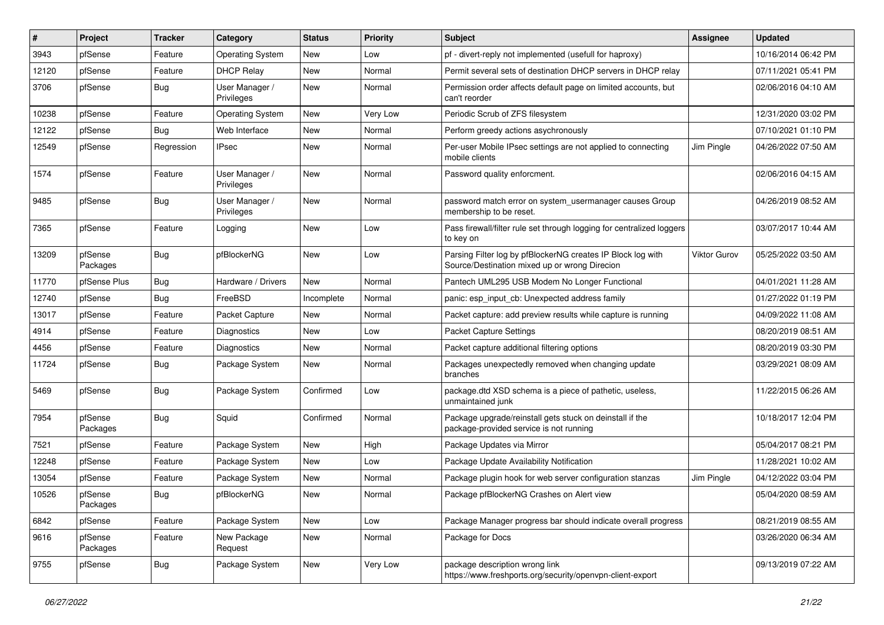| ∦     | Project             | <b>Tracker</b> | Category                     | <b>Status</b> | Priority | Subject                                                                                                      | <b>Assignee</b> | <b>Updated</b>      |
|-------|---------------------|----------------|------------------------------|---------------|----------|--------------------------------------------------------------------------------------------------------------|-----------------|---------------------|
| 3943  | pfSense             | Feature        | <b>Operating System</b>      | New           | Low      | pf - divert-reply not implemented (usefull for haproxy)                                                      |                 | 10/16/2014 06:42 PM |
| 12120 | pfSense             | Feature        | <b>DHCP Relay</b>            | <b>New</b>    | Normal   | Permit several sets of destination DHCP servers in DHCP relay                                                |                 | 07/11/2021 05:41 PM |
| 3706  | pfSense             | Bug            | User Manager /<br>Privileges | New           | Normal   | Permission order affects default page on limited accounts, but<br>can't reorder                              |                 | 02/06/2016 04:10 AM |
| 10238 | pfSense             | Feature        | <b>Operating System</b>      | <b>New</b>    | Very Low | Periodic Scrub of ZFS filesystem                                                                             |                 | 12/31/2020 03:02 PM |
| 12122 | pfSense             | <b>Bug</b>     | Web Interface                | New           | Normal   | Perform greedy actions asychronously                                                                         |                 | 07/10/2021 01:10 PM |
| 12549 | pfSense             | Regression     | <b>IPsec</b>                 | New           | Normal   | Per-user Mobile IPsec settings are not applied to connecting<br>mobile clients                               | Jim Pingle      | 04/26/2022 07:50 AM |
| 1574  | pfSense             | Feature        | User Manager /<br>Privileges | <b>New</b>    | Normal   | Password quality enforcment.                                                                                 |                 | 02/06/2016 04:15 AM |
| 9485  | pfSense             | <b>Bug</b>     | User Manager /<br>Privileges | New           | Normal   | password match error on system_usermanager causes Group<br>membership to be reset.                           |                 | 04/26/2019 08:52 AM |
| 7365  | pfSense             | Feature        | Logging                      | New           | Low      | Pass firewall/filter rule set through logging for centralized loggers<br>to key on                           |                 | 03/07/2017 10:44 AM |
| 13209 | pfSense<br>Packages | Bug            | pfBlockerNG                  | New           | Low      | Parsing Filter log by pfBlockerNG creates IP Block log with<br>Source/Destination mixed up or wrong Direcion | Viktor Gurov    | 05/25/2022 03:50 AM |
| 11770 | pfSense Plus        | Bug            | Hardware / Drivers           | <b>New</b>    | Normal   | Pantech UML295 USB Modem No Longer Functional                                                                |                 | 04/01/2021 11:28 AM |
| 12740 | pfSense             | <b>Bug</b>     | FreeBSD                      | Incomplete    | Normal   | panic: esp input cb: Unexpected address family                                                               |                 | 01/27/2022 01:19 PM |
| 13017 | pfSense             | Feature        | Packet Capture               | New           | Normal   | Packet capture: add preview results while capture is running                                                 |                 | 04/09/2022 11:08 AM |
| 4914  | pfSense             | Feature        | Diagnostics                  | New           | Low      | Packet Capture Settings                                                                                      |                 | 08/20/2019 08:51 AM |
| 4456  | pfSense             | Feature        | Diagnostics                  | New           | Normal   | Packet capture additional filtering options                                                                  |                 | 08/20/2019 03:30 PM |
| 11724 | pfSense             | Bug            | Package System               | New           | Normal   | Packages unexpectedly removed when changing update<br>branches                                               |                 | 03/29/2021 08:09 AM |
| 5469  | pfSense             | Bug            | Package System               | Confirmed     | Low      | package.dtd XSD schema is a piece of pathetic, useless,<br>unmaintained junk                                 |                 | 11/22/2015 06:26 AM |
| 7954  | pfSense<br>Packages | Bug            | Squid                        | Confirmed     | Normal   | Package upgrade/reinstall gets stuck on deinstall if the<br>package-provided service is not running          |                 | 10/18/2017 12:04 PM |
| 7521  | pfSense             | Feature        | Package System               | <b>New</b>    | High     | Package Updates via Mirror                                                                                   |                 | 05/04/2017 08:21 PM |
| 12248 | pfSense             | Feature        | Package System               | New           | Low      | Package Update Availability Notification                                                                     |                 | 11/28/2021 10:02 AM |
| 13054 | pfSense             | Feature        | Package System               | New           | Normal   | Package plugin hook for web server configuration stanzas                                                     | Jim Pingle      | 04/12/2022 03:04 PM |
| 10526 | pfSense<br>Packages | Bug            | pfBlockerNG                  | New           | Normal   | Package pfBlockerNG Crashes on Alert view                                                                    |                 | 05/04/2020 08:59 AM |
| 6842  | pfSense             | Feature        | Package System               | <b>New</b>    | Low      | Package Manager progress bar should indicate overall progress                                                |                 | 08/21/2019 08:55 AM |
| 9616  | pfSense<br>Packages | Feature        | New Package<br>Request       | <b>New</b>    | Normal   | Package for Docs                                                                                             |                 | 03/26/2020 06:34 AM |
| 9755  | pfSense             | <b>Bug</b>     | Package System               | New           | Very Low | package description wrong link<br>https://www.freshports.org/security/openvpn-client-export                  |                 | 09/13/2019 07:22 AM |